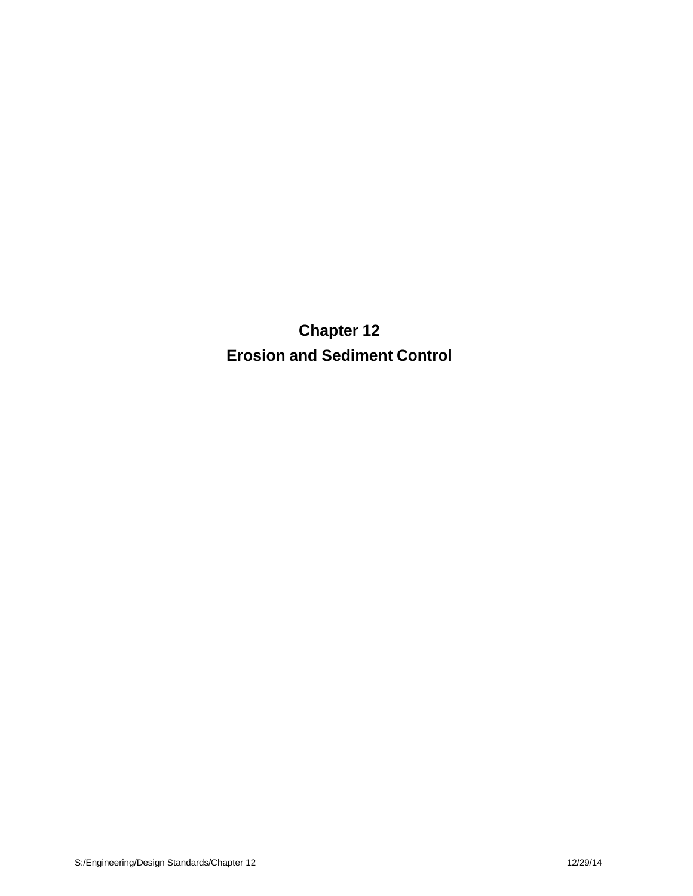**Chapter 12 Erosion and Sediment Control**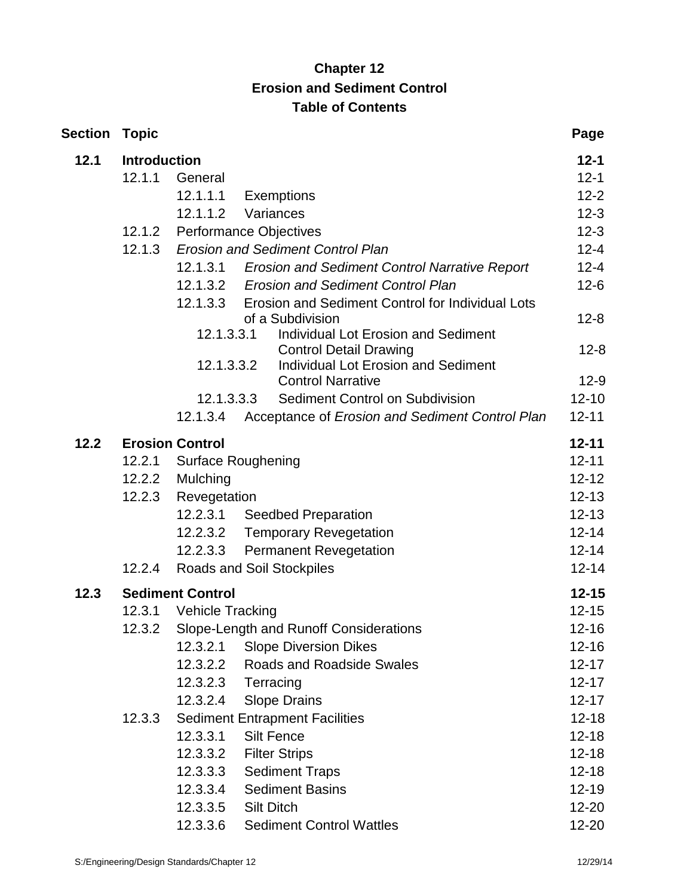# **Chapter 12 Erosion and Sediment Control Table of Contents**

| Section | <b>Topic</b>        |                                  |                                                                | Page      |  |
|---------|---------------------|----------------------------------|----------------------------------------------------------------|-----------|--|
| 12.1    | <b>Introduction</b> |                                  |                                                                | $12 - 1$  |  |
|         | 12.1.1              | General                          |                                                                | $12 - 1$  |  |
|         |                     | 12.1.1.1                         | <b>Exemptions</b>                                              | $12 - 2$  |  |
|         |                     | 12.1.1.2                         | Variances                                                      | $12 - 3$  |  |
|         | 12.1.2              | Performance Objectives           |                                                                | $12 - 3$  |  |
|         | 12.1.3              |                                  | <b>Erosion and Sediment Control Plan</b>                       | $12 - 4$  |  |
|         |                     |                                  | 12.1.3.1 Erosion and Sediment Control Narrative Report         | $12 - 4$  |  |
|         |                     |                                  | 12.1.3.2 Erosion and Sediment Control Plan                     | $12 - 6$  |  |
|         |                     | 12.1.3.3                         | Erosion and Sediment Control for Individual Lots               |           |  |
|         |                     | 12.1.3.3.1                       | of a Subdivision<br><b>Individual Lot Erosion and Sediment</b> | $12 - 8$  |  |
|         |                     |                                  | <b>Control Detail Drawing</b>                                  | $12 - 8$  |  |
|         |                     | 12.1.3.3.2                       | <b>Individual Lot Erosion and Sediment</b>                     |           |  |
|         |                     |                                  | <b>Control Narrative</b>                                       | $12-9$    |  |
|         |                     | 12.1.3.3.3                       | Sediment Control on Subdivision                                | $12 - 10$ |  |
|         |                     | 12.1.3.4                         | Acceptance of Erosion and Sediment Control Plan                | $12 - 11$ |  |
| 12.2    |                     | <b>Erosion Control</b>           |                                                                | $12 - 11$ |  |
|         | 12.2.1              | <b>Surface Roughening</b>        |                                                                | $12 - 11$ |  |
|         | 12.2.2              | Mulching                         |                                                                | $12 - 12$ |  |
|         | 12.2.3              | Revegetation                     |                                                                | $12 - 13$ |  |
|         |                     | 12.2.3.1                         | <b>Seedbed Preparation</b>                                     | $12 - 13$ |  |
|         |                     |                                  | 12.2.3.2 Temporary Revegetation                                | $12 - 14$ |  |
|         |                     | 12.2.3.3                         | <b>Permanent Revegetation</b>                                  | $12 - 14$ |  |
|         | 12.2.4              | <b>Roads and Soil Stockpiles</b> |                                                                | $12 - 14$ |  |
| 12.3    |                     | <b>Sediment Control</b>          |                                                                | $12 - 15$ |  |
|         | 12.3.1              | <b>Vehicle Tracking</b>          |                                                                | $12 - 15$ |  |
|         | 12.3.2              |                                  | Slope-Length and Runoff Considerations                         | $12 - 16$ |  |
|         |                     | 12.3.2.1                         | <b>Slope Diversion Dikes</b>                                   | $12 - 16$ |  |
|         |                     | 12.3.2.2                         | <b>Roads and Roadside Swales</b>                               | $12 - 17$ |  |
|         |                     | 12.3.2.3                         | Terracing                                                      | $12 - 17$ |  |
|         |                     | 12.3.2.4                         | <b>Slope Drains</b>                                            | $12 - 17$ |  |
|         | 12.3.3              |                                  | <b>Sediment Entrapment Facilities</b>                          | $12 - 18$ |  |
|         |                     | 12.3.3.1                         | <b>Silt Fence</b>                                              | $12 - 18$ |  |
|         |                     | 12.3.3.2                         | <b>Filter Strips</b>                                           | $12 - 18$ |  |
|         |                     | 12.3.3.3                         | <b>Sediment Traps</b>                                          | $12 - 18$ |  |
|         |                     | 12.3.3.4                         | <b>Sediment Basins</b>                                         | $12 - 19$ |  |
|         |                     | 12.3.3.5                         | <b>Silt Ditch</b>                                              | $12 - 20$ |  |
|         |                     | 12.3.3.6                         | <b>Sediment Control Wattles</b>                                | 12-20     |  |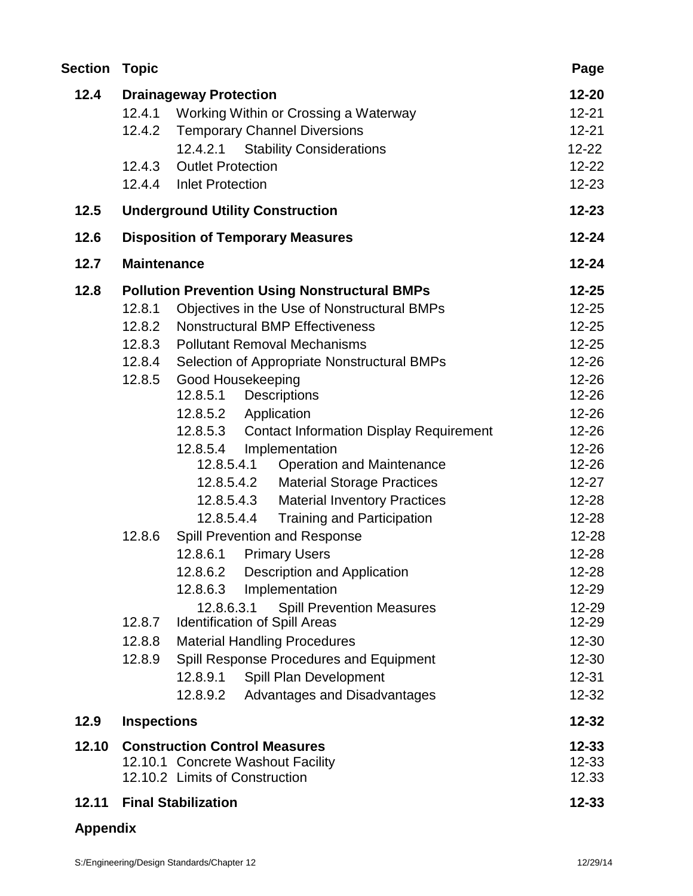| <b>Topic</b> |                                                            | Page                                                                                                                                                                                                                                                                                                                                                                                                                                                                              |
|--------------|------------------------------------------------------------|-----------------------------------------------------------------------------------------------------------------------------------------------------------------------------------------------------------------------------------------------------------------------------------------------------------------------------------------------------------------------------------------------------------------------------------------------------------------------------------|
|              |                                                            | 12-20                                                                                                                                                                                                                                                                                                                                                                                                                                                                             |
| 12.4.1       | Working Within or Crossing a Waterway                      | $12 - 21$                                                                                                                                                                                                                                                                                                                                                                                                                                                                         |
| 12.4.2       | <b>Temporary Channel Diversions</b>                        | $12 - 21$                                                                                                                                                                                                                                                                                                                                                                                                                                                                         |
|              | 12.4.2.1 Stability Considerations                          | $12 - 22$                                                                                                                                                                                                                                                                                                                                                                                                                                                                         |
| 12.4.3       | <b>Outlet Protection</b>                                   | $12 - 22$                                                                                                                                                                                                                                                                                                                                                                                                                                                                         |
| 12.4.4       | <b>Inlet Protection</b>                                    | 12-23                                                                                                                                                                                                                                                                                                                                                                                                                                                                             |
|              |                                                            | $12 - 23$                                                                                                                                                                                                                                                                                                                                                                                                                                                                         |
|              |                                                            | $12 - 24$                                                                                                                                                                                                                                                                                                                                                                                                                                                                         |
|              |                                                            | $12 - 24$                                                                                                                                                                                                                                                                                                                                                                                                                                                                         |
|              |                                                            | $12 - 25$                                                                                                                                                                                                                                                                                                                                                                                                                                                                         |
| 12.8.1       |                                                            | $12 - 25$                                                                                                                                                                                                                                                                                                                                                                                                                                                                         |
| 12.8.2       | <b>Nonstructural BMP Effectiveness</b>                     | $12 - 25$                                                                                                                                                                                                                                                                                                                                                                                                                                                                         |
| 12.8.3       | <b>Pollutant Removal Mechanisms</b>                        | $12 - 25$                                                                                                                                                                                                                                                                                                                                                                                                                                                                         |
| 12.8.4       | Selection of Appropriate Nonstructural BMPs                | 12-26                                                                                                                                                                                                                                                                                                                                                                                                                                                                             |
| 12.8.5       |                                                            | $12 - 26$                                                                                                                                                                                                                                                                                                                                                                                                                                                                         |
|              | 12.8.5.1<br>Descriptions                                   | 12-26                                                                                                                                                                                                                                                                                                                                                                                                                                                                             |
|              | Application<br>12.8.5.2                                    | 12-26                                                                                                                                                                                                                                                                                                                                                                                                                                                                             |
|              | <b>Contact Information Display Requirement</b><br>12.8.5.3 | $12 - 26$                                                                                                                                                                                                                                                                                                                                                                                                                                                                         |
|              | Implementation<br>12.8.5.4                                 | $12 - 26$                                                                                                                                                                                                                                                                                                                                                                                                                                                                         |
|              | <b>Operation and Maintenance</b><br>12.8.5.4.1             | 12-26                                                                                                                                                                                                                                                                                                                                                                                                                                                                             |
|              | <b>Material Storage Practices</b><br>12.8.5.4.2            | $12 - 27$                                                                                                                                                                                                                                                                                                                                                                                                                                                                         |
|              | 12.8.5.4.3<br><b>Material Inventory Practices</b>          | $12 - 28$                                                                                                                                                                                                                                                                                                                                                                                                                                                                         |
|              | <b>Training and Participation</b><br>12.8.5.4.4            | 12-28                                                                                                                                                                                                                                                                                                                                                                                                                                                                             |
| 12.8.6       | Spill Prevention and Response                              | 12-28                                                                                                                                                                                                                                                                                                                                                                                                                                                                             |
|              | <b>Primary Users</b><br>12.8.6.1                           | 12-28                                                                                                                                                                                                                                                                                                                                                                                                                                                                             |
|              | 12.8.6.2 Description and Application                       | 12-28                                                                                                                                                                                                                                                                                                                                                                                                                                                                             |
|              | 12.8.6.3<br>Implementation                                 | 12-29                                                                                                                                                                                                                                                                                                                                                                                                                                                                             |
|              | 12.8.6.3.1<br><b>Spill Prevention Measures</b>             | 12-29                                                                                                                                                                                                                                                                                                                                                                                                                                                                             |
|              |                                                            | 12-29                                                                                                                                                                                                                                                                                                                                                                                                                                                                             |
| 12.8.8       | <b>Material Handling Procedures</b>                        | 12-30                                                                                                                                                                                                                                                                                                                                                                                                                                                                             |
| 12.8.9       | Spill Response Procedures and Equipment                    | 12-30                                                                                                                                                                                                                                                                                                                                                                                                                                                                             |
|              | 12.8.9.1<br>Spill Plan Development                         | $12 - 31$                                                                                                                                                                                                                                                                                                                                                                                                                                                                         |
|              | 12.8.9.2<br>Advantages and Disadvantages                   | $12 - 32$                                                                                                                                                                                                                                                                                                                                                                                                                                                                         |
|              |                                                            | $12 - 32$                                                                                                                                                                                                                                                                                                                                                                                                                                                                         |
|              |                                                            | $12 - 33$                                                                                                                                                                                                                                                                                                                                                                                                                                                                         |
|              |                                                            | $12 - 33$                                                                                                                                                                                                                                                                                                                                                                                                                                                                         |
|              |                                                            | 12.33                                                                                                                                                                                                                                                                                                                                                                                                                                                                             |
|              |                                                            | $12 - 33$                                                                                                                                                                                                                                                                                                                                                                                                                                                                         |
|              | 12.8.7                                                     | <b>Drainageway Protection</b><br><b>Underground Utility Construction</b><br><b>Disposition of Temporary Measures</b><br><b>Maintenance</b><br><b>Pollution Prevention Using Nonstructural BMPs</b><br>Objectives in the Use of Nonstructural BMPs<br>Good Housekeeping<br><b>Identification of Spill Areas</b><br><b>Inspections</b><br><b>Construction Control Measures</b><br>12.10.1 Concrete Washout Facility<br>12.10.2 Limits of Construction<br><b>Final Stabilization</b> |

# **Appendix**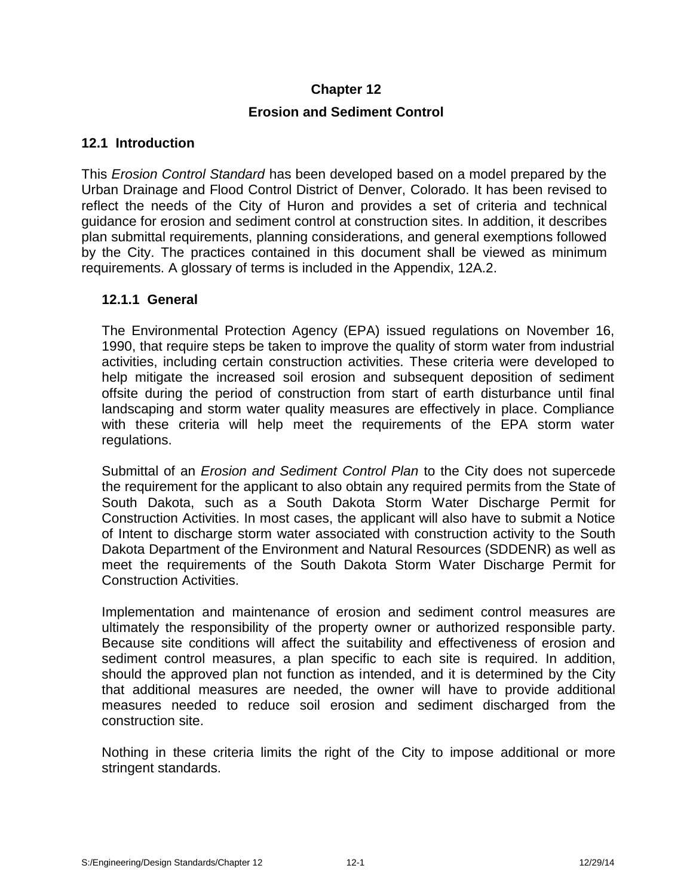# **Chapter 12**

# **Erosion and Sediment Control**

# **12.1 Introduction**

This *Erosion Control Standard* has been developed based on a model prepared by the Urban Drainage and Flood Control District of Denver, Colorado. It has been revised to reflect the needs of the City of Huron and provides a set of criteria and technical guidance for erosion and sediment control at construction sites. In addition, it describes plan submittal requirements, planning considerations, and general exemptions followed by the City. The practices contained in this document shall be viewed as minimum requirements. A glossary of terms is included in the Appendix, 12A.2.

# **12.1.1 General**

The Environmental Protection Agency (EPA) issued regulations on November 16, 1990, that require steps be taken to improve the quality of storm water from industrial activities, including certain construction activities. These criteria were developed to help mitigate the increased soil erosion and subsequent deposition of sediment offsite during the period of construction from start of earth disturbance until final landscaping and storm water quality measures are effectively in place. Compliance with these criteria will help meet the requirements of the EPA storm water regulations.

Submittal of an *Erosion and Sediment Control Plan* to the City does not supercede the requirement for the applicant to also obtain any required permits from the State of South Dakota, such as a South Dakota Storm Water Discharge Permit for Construction Activities. In most cases, the applicant will also have to submit a Notice of Intent to discharge storm water associated with construction activity to the South Dakota Department of the Environment and Natural Resources (SDDENR) as well as meet the requirements of the South Dakota Storm Water Discharge Permit for Construction Activities.

Implementation and maintenance of erosion and sediment control measures are ultimately the responsibility of the property owner or authorized responsible party. Because site conditions will affect the suitability and effectiveness of erosion and sediment control measures, a plan specific to each site is required. In addition, should the approved plan not function as intended, and it is determined by the City that additional measures are needed, the owner will have to provide additional measures needed to reduce soil erosion and sediment discharged from the construction site.

Nothing in these criteria limits the right of the City to impose additional or more stringent standards.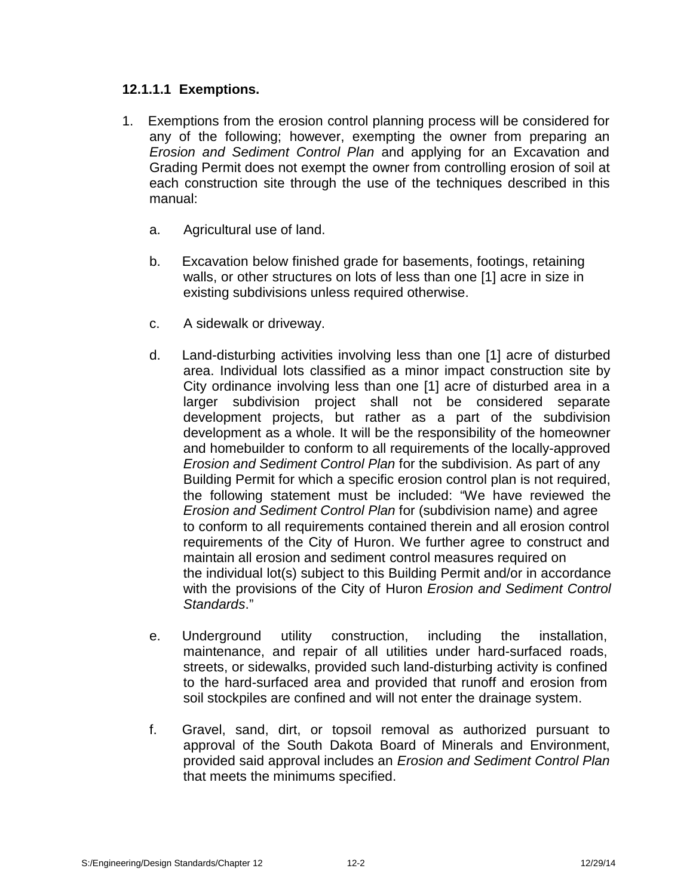# **12.1.1.1 Exemptions.**

- 1. Exemptions from the erosion control planning process will be considered for any of the following; however, exempting the owner from preparing an *Erosion and Sediment Control Plan* and applying for an Excavation and Grading Permit does not exempt the owner from controlling erosion of soil at each construction site through the use of the techniques described in this manual:
	- a. Agricultural use of land.
	- b. Excavation below finished grade for basements, footings, retaining walls, or other structures on lots of less than one [1] acre in size in existing subdivisions unless required otherwise.
	- c. A sidewalk or driveway.
	- d. Land-disturbing activities involving less than one [1] acre of disturbed area. Individual lots classified as a minor impact construction site by City ordinance involving less than one [1] acre of disturbed area in a larger subdivision project shall not be considered separate development projects, but rather as a part of the subdivision development as a whole. It will be the responsibility of the homeowner and homebuilder to conform to all requirements of the locally-approved *Erosion and Sediment Control Plan* for the subdivision. As part of any Building Permit for which a specific erosion control plan is not required, the following statement must be included: "We have reviewed the *Erosion and Sediment Control Plan* for (subdivision name) and agree to conform to all requirements contained therein and all erosion control requirements of the City of Huron. We further agree to construct and maintain all erosion and sediment control measures required on the individual lot(s) subject to this Building Permit and/or in accordance with the provisions of the City of Huron *Erosion and Sediment Control Standards*."
	- e. Underground utility construction, including the installation, maintenance, and repair of all utilities under hard-surfaced roads, streets, or sidewalks, provided such land-disturbing activity is confined to the hard-surfaced area and provided that runoff and erosion from soil stockpiles are confined and will not enter the drainage system.
	- f. Gravel, sand, dirt, or topsoil removal as authorized pursuant to approval of the South Dakota Board of Minerals and Environment, provided said approval includes an *Erosion and Sediment Control Plan* that meets the minimums specified.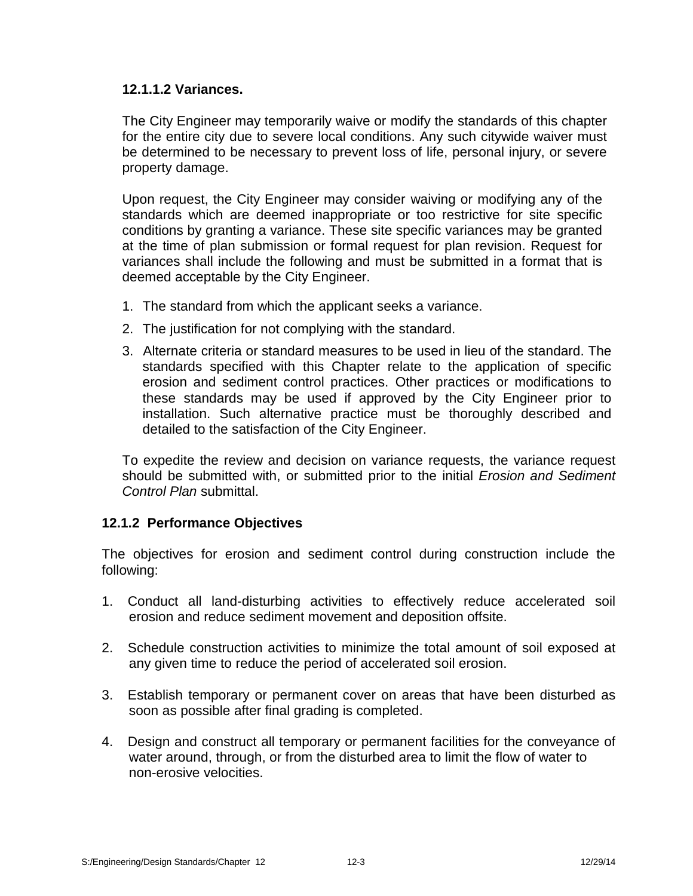# **12.1.1.2 Variances.**

The City Engineer may temporarily waive or modify the standards of this chapter for the entire city due to severe local conditions. Any such citywide waiver must be determined to be necessary to prevent loss of life, personal injury, or severe property damage.

Upon request, the City Engineer may consider waiving or modifying any of the standards which are deemed inappropriate or too restrictive for site specific conditions by granting a variance. These site specific variances may be granted at the time of plan submission or formal request for plan revision. Request for variances shall include the following and must be submitted in a format that is deemed acceptable by the City Engineer.

- 1. The standard from which the applicant seeks a variance.
- 2. The justification for not complying with the standard.
- 3. Alternate criteria or standard measures to be used in lieu of the standard. The standards specified with this Chapter relate to the application of specific erosion and sediment control practices. Other practices or modifications to these standards may be used if approved by the City Engineer prior to installation. Such alternative practice must be thoroughly described and detailed to the satisfaction of the City Engineer.

To expedite the review and decision on variance requests, the variance request should be submitted with, or submitted prior to the initial *Erosion and Sediment Control Plan* submittal.

# **12.1.2 Performance Objectives**

The objectives for erosion and sediment control during construction include the following:

- 1. Conduct all land-disturbing activities to effectively reduce accelerated soil erosion and reduce sediment movement and deposition offsite.
- 2. Schedule construction activities to minimize the total amount of soil exposed at any given time to reduce the period of accelerated soil erosion.
- 3. Establish temporary or permanent cover on areas that have been disturbed as soon as possible after final grading is completed.
- 4. Design and construct all temporary or permanent facilities for the conveyance of water around, through, or from the disturbed area to limit the flow of water to non-erosive velocities.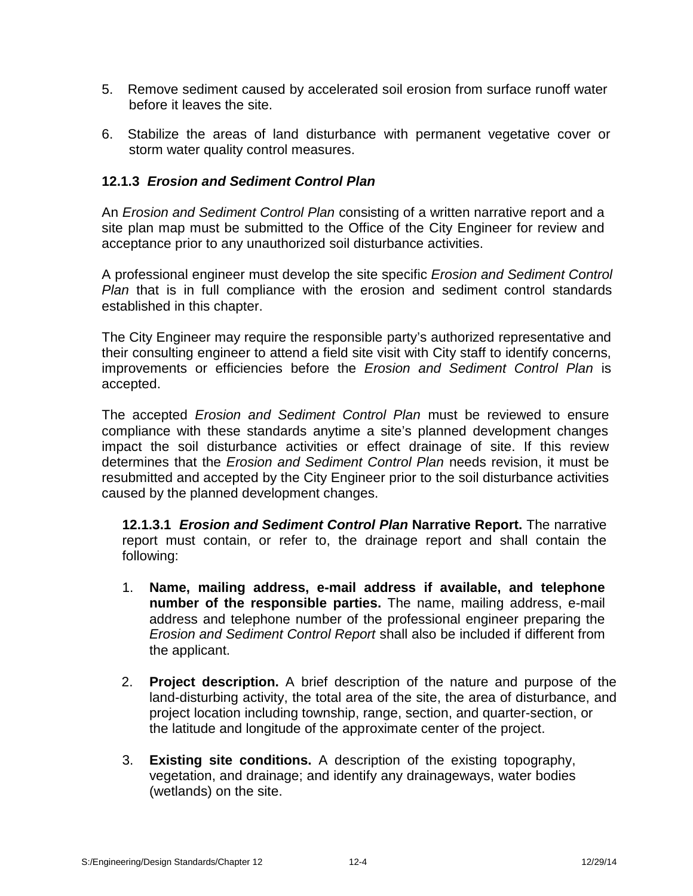- 5. Remove sediment caused by accelerated soil erosion from surface runoff water before it leaves the site.
- 6. Stabilize the areas of land disturbance with permanent vegetative cover or storm water quality control measures.

# **12.1.3** *Erosion and Sediment Control Plan*

An *Erosion and Sediment Control Plan* consisting of a written narrative report and a site plan map must be submitted to the Office of the City Engineer for review and acceptance prior to any unauthorized soil disturbance activities.

A professional engineer must develop the site specific *Erosion and Sediment Control Plan* that is in full compliance with the erosion and sediment control standards established in this chapter.

The City Engineer may require the responsible party's authorized representative and their consulting engineer to attend a field site visit with City staff to identify concerns, improvements or efficiencies before the *Erosion and Sediment Control Plan* is accepted.

The accepted *Erosion and Sediment Control Plan* must be reviewed to ensure compliance with these standards anytime a site's planned development changes impact the soil disturbance activities or effect drainage of site. If this review determines that the *Erosion and Sediment Control Plan* needs revision, it must be resubmitted and accepted by the City Engineer prior to the soil disturbance activities caused by the planned development changes.

**12.1.3.1** *Erosion and Sediment Control Plan* **Narrative Report.** The narrative report must contain, or refer to, the drainage report and shall contain the following:

- 1. **Name, mailing address, e-mail address if available, and telephone number of the responsible parties.** The name, mailing address, e-mail address and telephone number of the professional engineer preparing the *Erosion and Sediment Control Report* shall also be included if different from the applicant.
- 2. **Project description.** A brief description of the nature and purpose of the land-disturbing activity, the total area of the site, the area of disturbance, and project location including township, range, section, and quarter-section, or the latitude and longitude of the approximate center of the project.
- 3. **Existing site conditions.** A description of the existing topography, vegetation, and drainage; and identify any drainageways, water bodies (wetlands) on the site.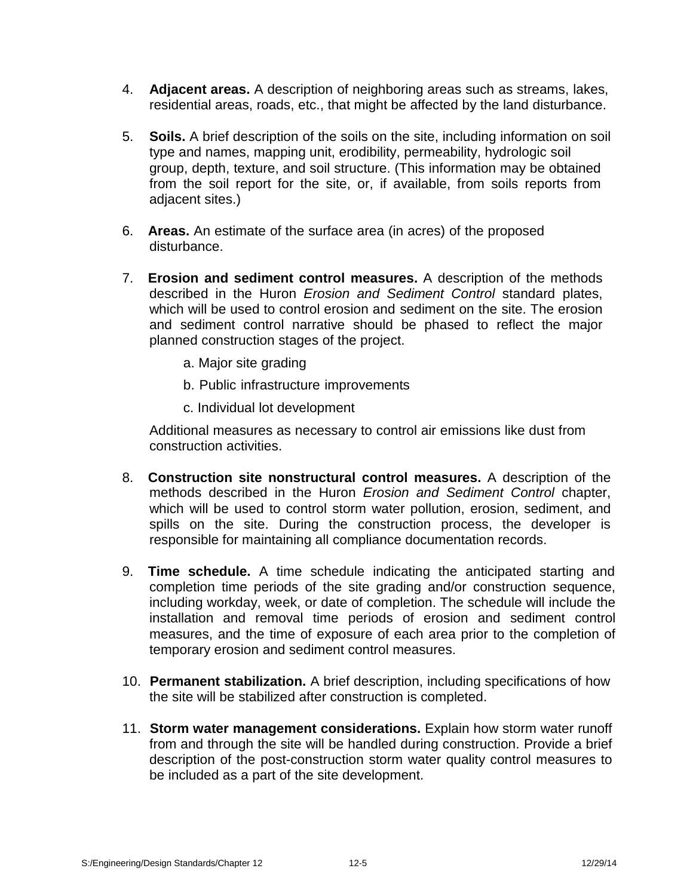- 4. **Adjacent areas.** A description of neighboring areas such as streams, lakes, residential areas, roads, etc., that might be affected by the land disturbance.
- 5. **Soils.** A brief description of the soils on the site, including information on soil type and names, mapping unit, erodibility, permeability, hydrologic soil group, depth, texture, and soil structure. (This information may be obtained from the soil report for the site, or, if available, from soils reports from adjacent sites.)
- 6. **Areas.** An estimate of the surface area (in acres) of the proposed disturbance.
- 7. **Erosion and sediment control measures.** A description of the methods described in the Huron *Erosion and Sediment Control* standard plates, which will be used to control erosion and sediment on the site. The erosion and sediment control narrative should be phased to reflect the major planned construction stages of the project.
	- a. Major site grading
	- b. Public infrastructure improvements
	- c. Individual lot development

Additional measures as necessary to control air emissions like dust from construction activities.

- 8. **Construction site nonstructural control measures.** A description of the methods described in the Huron *Erosion and Sediment Control* chapter, which will be used to control storm water pollution, erosion, sediment, and spills on the site. During the construction process, the developer is responsible for maintaining all compliance documentation records.
- 9. **Time schedule.** A time schedule indicating the anticipated starting and completion time periods of the site grading and/or construction sequence, including workday, week, or date of completion. The schedule will include the installation and removal time periods of erosion and sediment control measures, and the time of exposure of each area prior to the completion of temporary erosion and sediment control measures.
- 10. **Permanent stabilization.** A brief description, including specifications of how the site will be stabilized after construction is completed.
- 11. **Storm water management considerations.** Explain how storm water runoff from and through the site will be handled during construction. Provide a brief description of the post-construction storm water quality control measures to be included as a part of the site development.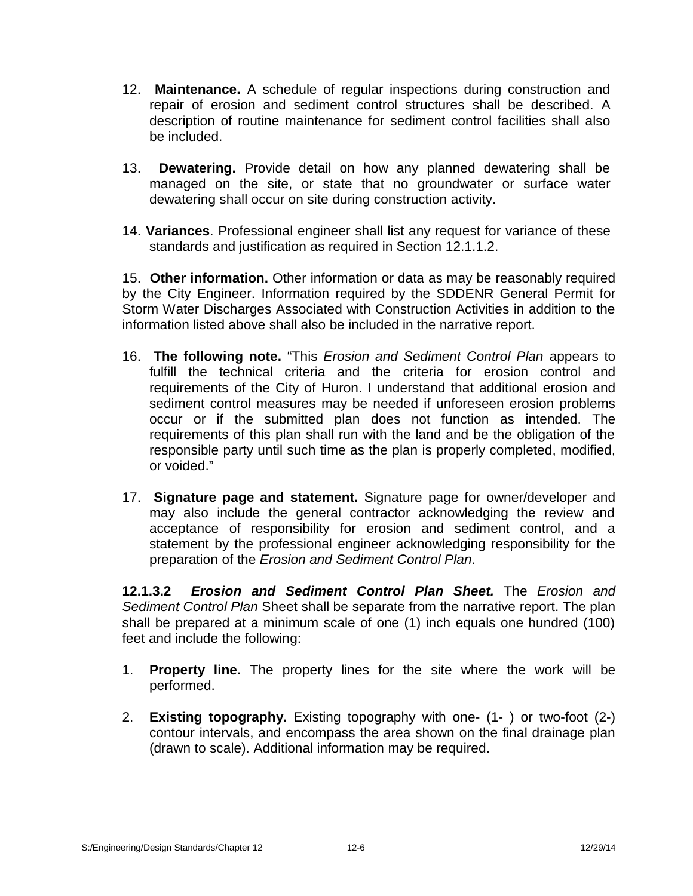- 12. **Maintenance.** A schedule of regular inspections during construction and repair of erosion and sediment control structures shall be described. A description of routine maintenance for sediment control facilities shall also be included.
- 13. **Dewatering.** Provide detail on how any planned dewatering shall be managed on the site, or state that no groundwater or surface water dewatering shall occur on site during construction activity.
- 14. **Variances**. Professional engineer shall list any request for variance of these standards and justification as required in Section 12.1.1.2.

15. **Other information.** Other information or data as may be reasonably required by the City Engineer. Information required by the SDDENR General Permit for Storm Water Discharges Associated with Construction Activities in addition to the information listed above shall also be included in the narrative report.

- 16. **The following note.** "This *Erosion and Sediment Control Plan* appears to fulfill the technical criteria and the criteria for erosion control and requirements of the City of Huron. I understand that additional erosion and sediment control measures may be needed if unforeseen erosion problems occur or if the submitted plan does not function as intended. The requirements of this plan shall run with the land and be the obligation of the responsible party until such time as the plan is properly completed, modified, or voided."
- 17. **Signature page and statement.** Signature page forowner/developer and may also include the general contractor acknowledging the review and acceptance of responsibility for erosion and sediment control, and a statement by the professional engineer acknowledging responsibility for the preparation of the *Erosion and Sediment Control Plan*.

**12.1.3.2** *Erosion and Sediment Control Plan Sheet.* The *Erosion and Sediment Control Plan* Sheet shall be separate from the narrative report. The plan shall be prepared at a minimum scale of one (1) inch equals one hundred (100) feet and include the following:

- 1. **Property line.** The property lines for the site where the work will be performed.
- 2. **Existing topography.** Existing topography with one- (1- ) or two-foot (2-) contour intervals, and encompass the area shown on the final drainage plan (drawn to scale). Additional information may be required.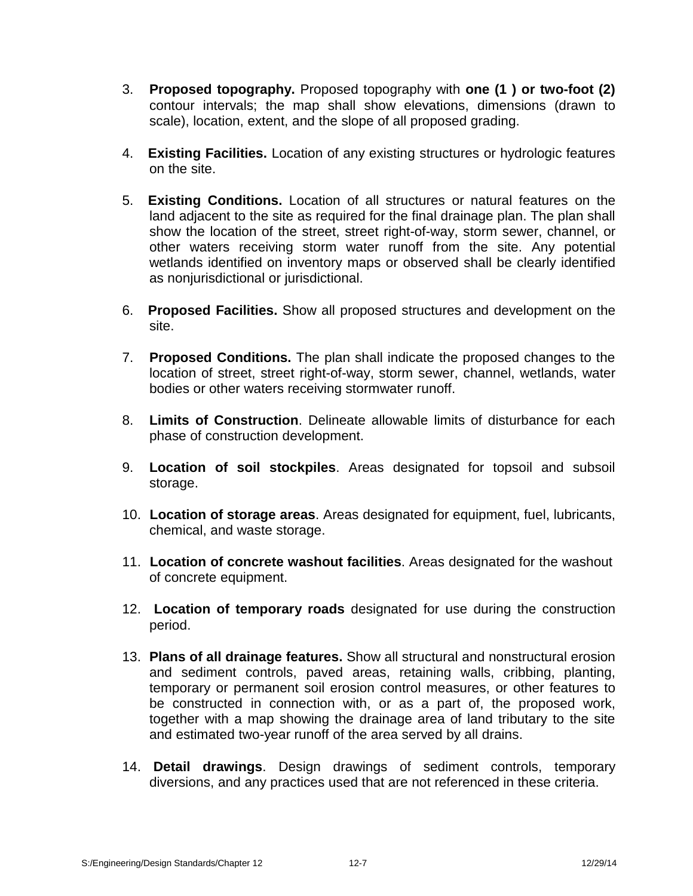- 3. **Proposed topography.** Proposed topography with **one (1 ) or two-foot (2)** contour intervals; the map shall show elevations, dimensions (drawn to scale), location, extent, and the slope of all proposed grading.
- 4. **Existing Facilities.** Location of any existing structures orhydrologic features on the site.
- 5. **Existing Conditions.** Location of all structures or natural features on the land adjacent to the site as required for the final drainage plan. The plan shall show the location of the street, street right-of-way, storm sewer, channel, or other waters receiving storm water runoff from the site. Any potential wetlands identified on inventory maps or observed shall be clearly identified as nonjurisdictional or jurisdictional.
- 6. **Proposed Facilities.** Show all proposed structures and development on the site.
- 7. **Proposed Conditions.** The plan shall indicate the proposed changes to the location of street, street right-of-way, storm sewer, channel, wetlands, water bodies or other waters receiving stormwater runoff.
- 8. **Limits of Construction**. Delineate allowable limits of disturbance for each phase of construction development.
- 9. **Location of soil stockpiles**. Areas designated for topsoil and subsoil storage.
- 10. **Location of storage areas**. Areas designated for equipment, fuel, lubricants, chemical, and waste storage.
- 11. **Location of concrete washout facilities**. Areas designated for the washout of concrete equipment.
- 12. **Location of temporary roads** designated foruse during the construction period.
- 13. **Plans of all drainage features.** Show all structural and nonstructural erosion and sediment controls, paved areas, retaining walls, cribbing, planting, temporary or permanent soil erosion control measures, or other features to be constructed in connection with, or as a part of, the proposed work, together with a map showing the drainage area of land tributary to the site and estimated two-year runoff of the area served by all drains.
- 14. **Detail drawings**. Design drawings of sediment controls, temporary diversions, and any practices used that are not referenced in these criteria.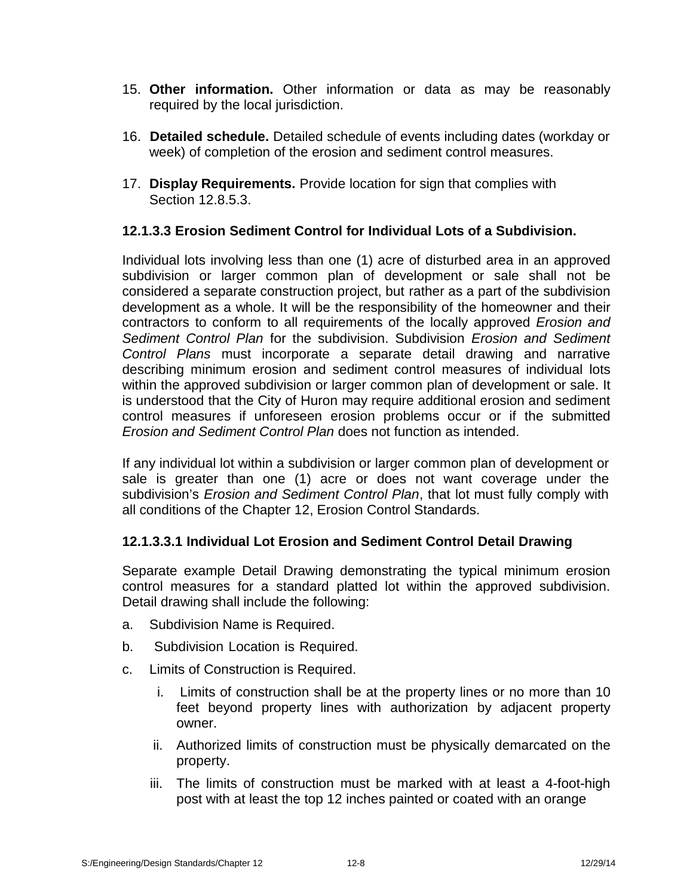- 15. **Other information.** Other information or data as may be reasonably required by the local jurisdiction.
- 16. **Detailed schedule.** Detailed schedule of events including dates (workday or week) of completion of the erosion and sediment control measures.
- 17. **Display Requirements.** Provide location for sign that complies with Section 12.8.5.3.

# **12.1.3.3 Erosion Sediment Control for Individual Lots of a Subdivision.**

Individual lots involving less than one (1) acre of disturbed area in an approved subdivision or larger common plan of development or sale shall not be considered a separate construction project, but rather as a part of the subdivision development as a whole. It will be the responsibility of the homeowner and their contractors to conform to all requirements of the locally approved *Erosion and Sediment Control Plan* for the subdivision. Subdivision *Erosion and Sediment Control Plans* must incorporate a separate detail drawing and narrative describing minimum erosion and sediment control measures of individual lots within the approved subdivision or larger common plan of development or sale. It is understood that the City of Huron may require additional erosion and sediment control measures if unforeseen erosion problems occur or if the submitted *Erosion and Sediment Control Plan* does not function as intended.

If any individual lot within a subdivision or larger common plan of development or sale is greater than one (1) acre or does not want coverage under the subdivision's *Erosion and Sediment Control Plan*, that lot must fully comply with all conditions of the Chapter 12, Erosion Control Standards.

# **12.1.3.3.1 Individual Lot Erosion and Sediment Control Detail Drawing**

Separate example Detail Drawing demonstrating the typical minimum erosion control measures for a standard platted lot within the approved subdivision. Detail drawing shall include the following:

- a. Subdivision Name is Required.
- b. Subdivision Location is Required.
- c. Limits of Construction is Required.
	- i. Limits of construction shall be at the property lines or no more than 10 feet beyond property lines with authorization by adjacent property owner.
	- ii. Authorized limits of construction must be physically demarcated on the property.
	- iii. The limits of construction must be marked with at least a 4-foot-high post with at least the top 12 inches painted or coated with an orange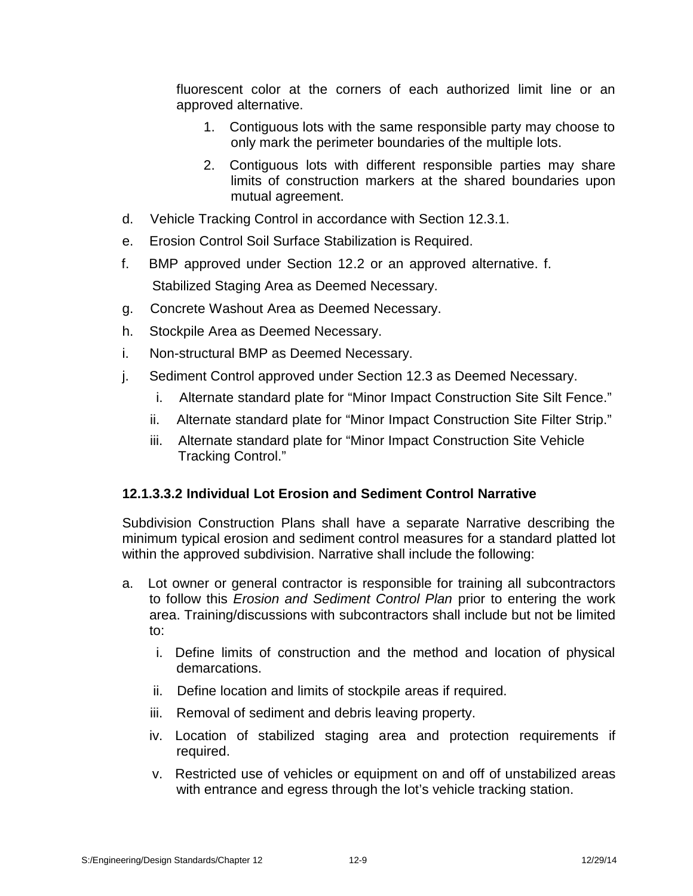fluorescent color at the corners of each authorized limit line or an approved alternative.

- 1. Contiguous lots with the same responsible party may choose to only mark the perimeter boundaries of the multiple lots.
- 2. Contiguous lots with different responsible parties may share limits of construction markers at the shared boundaries upon mutual agreement.
- d. Vehicle Tracking Control in accordance with Section 12.3.1.
- e. Erosion Control Soil Surface Stabilization is Required.
- f. BMP approved under Section 12.2 or an approved alternative. f. Stabilized Staging Area as Deemed Necessary.
- g. Concrete Washout Area as Deemed Necessary.
- h. Stockpile Area as Deemed Necessary.
- i. Non-structural BMP as Deemed Necessary.
- j. Sediment Control approved under Section 12.3 as Deemed Necessary.
	- i. Alternate standard plate for "Minor Impact Construction Site Silt Fence."
	- ii. Alternate standard plate for "Minor Impact Construction Site Filter Strip."
	- iii. Alternate standard plate for "Minor Impact Construction Site Vehicle Tracking Control."

# **12.1.3.3.2 Individual Lot Erosion and Sediment Control Narrative**

Subdivision Construction Plans shall have a separate Narrative describing the minimum typical erosion and sediment control measures for a standard platted lot within the approved subdivision. Narrative shall include the following:

- a. Lot owner or general contractor is responsible for training all subcontractors to follow this *Erosion and Sediment Control Plan* prior to entering the work area. Training/discussions with subcontractors shall include but not be limited to:
	- i. Define limits of construction and the method and location of physical demarcations.
	- ii. Define location and limits of stockpile areas if required.
	- iii. Removal of sediment and debris leaving property.
	- iv. Location of stabilized staging area and protection requirements if required.
	- v. Restricted use of vehicles or equipment on and off of unstabilized areas with entrance and egress through the lot's vehicle tracking station.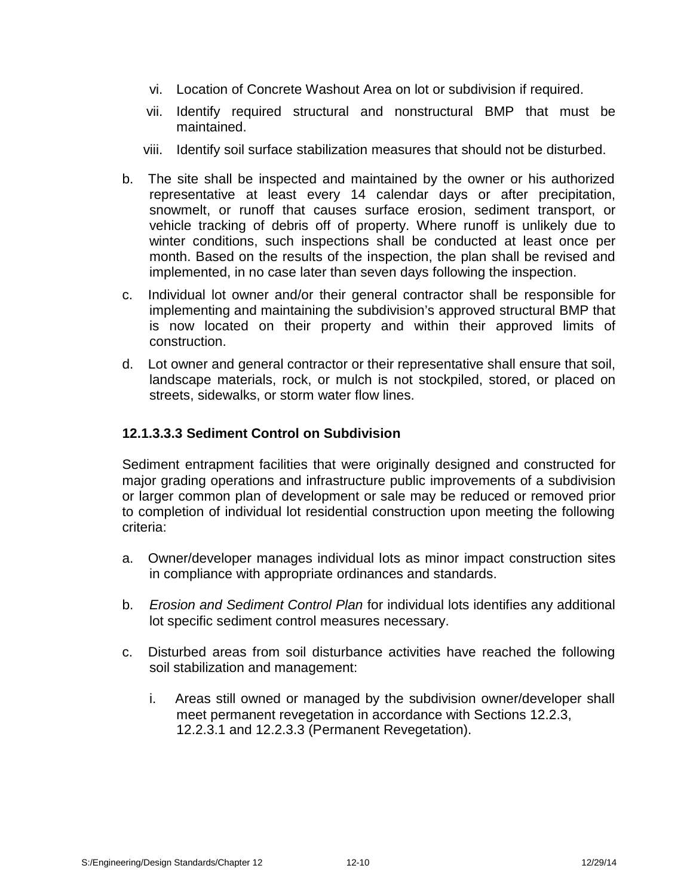- vi. Location of Concrete Washout Area on lot or subdivision if required.
- vii. Identify required structural and nonstructural BMP that must be maintained.
- viii. Identify soil surface stabilization measures that should not be disturbed.
- b. The site shall be inspected and maintained by the owner or his authorized representative at least every 14 calendar days or after precipitation, snowmelt, or runoff that causes surface erosion, sediment transport, or vehicle tracking of debris off of property. Where runoff is unlikely due to winter conditions, such inspections shall be conducted at least once per month. Based on the results of the inspection, the plan shall be revised and implemented, in no case later than seven days following the inspection.
- c. Individual lot owner and/or their general contractor shall be responsible for implementing and maintaining the subdivision's approved structural BMP that is now located on their property and within their approved limits of construction.
- d. Lot owner and general contractor or their representative shall ensure that soil, landscape materials, rock, or mulch is not stockpiled, stored, or placed on streets, sidewalks, or storm water flow lines.

# **12.1.3.3.3 Sediment Control on Subdivision**

Sediment entrapment facilities that were originally designed and constructed for major grading operations and infrastructure public improvements of a subdivision or larger common plan of development or sale may be reduced or removed prior to completion of individual lot residential construction upon meeting the following criteria:

- a. Owner/developer manages individual lots as minor impact construction sites in compliance with appropriate ordinances and standards.
- b. *Erosion and Sediment Control Plan* for individual lots identifies any additional lot specific sediment control measures necessary.
- c. Disturbed areas from soil disturbance activities have reached the following soil stabilization and management:
	- i. Areas still owned or managed by the subdivision owner/developer shall meet permanent revegetation in accordance with Sections 12.2.3, 12.2.3.1 and 12.2.3.3 (Permanent Revegetation).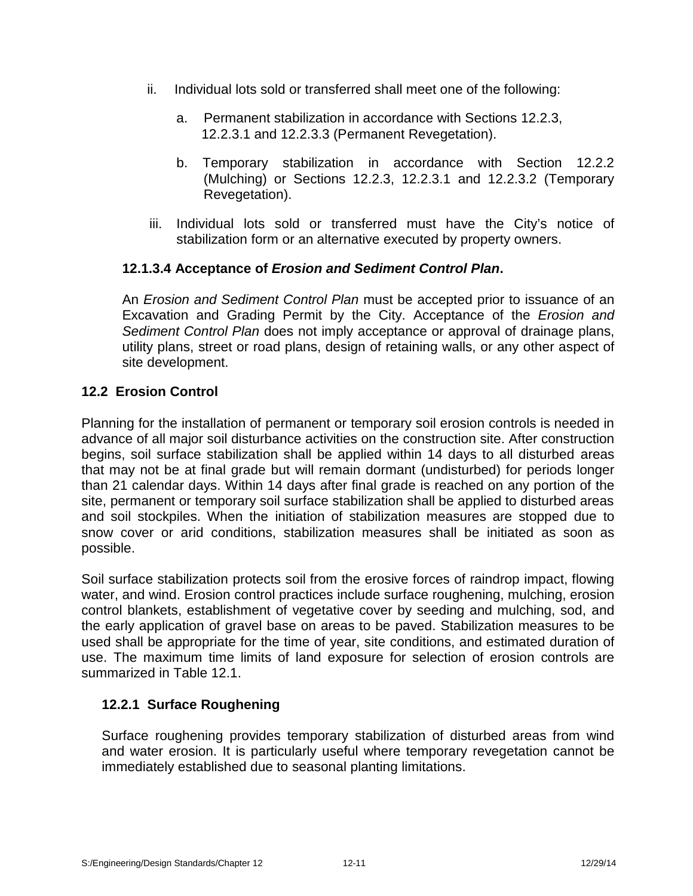- ii. Individual lots sold or transferred shall meet one of the following:
	- a. Permanent stabilization in accordance with Sections 12.2.3, 12.2.3.1 and 12.2.3.3 (Permanent Revegetation).
	- b. Temporary stabilization in accordance with Section 12.2.2 (Mulching) or Sections 12.2.3, 12.2.3.1 and 12.2.3.2 (Temporary Revegetation).
- iii. Individual lots sold or transferred must have the City's notice of stabilization form or an alternative executed by property owners.

# **12.1.3.4 Acceptance of** *Erosion and Sediment Control Plan***.**

An *Erosion and Sediment Control Plan* must be accepted prior to issuance of an Excavation and Grading Permit by the City. Acceptance of the *Erosion and Sediment Control Plan* does not imply acceptance or approval of drainage plans, utility plans, street or road plans, design of retaining walls, or any other aspect of site development.

# **12.2 Erosion Control**

Planning for the installation of permanent or temporary soil erosion controls is needed in advance of allmajor soil disturbance activities on the construction site. After construction begins, soil surface stabilization shall be applied within 14 days to all disturbed areas that may not be at final grade but will remain dormant (undisturbed) for periods longer than 21 calendar days. Within 14 days after final grade is reached on any portion of the site, permanent or temporary soil surface stabilization shall be applied to disturbed areas and soil stockpiles. When the initiation of stabilization measures are stopped due to snow cover or arid conditions, stabilization measures shall be initiated as soon as possible.

Soil surface stabilization protects soil from the erosive forces of raindrop impact, flowing water, and wind. Erosion control practices include surface roughening, mulching, erosion control blankets, establishment of vegetative cover by seeding and mulching, sod, and the early application of gravel base on areas to be paved. Stabilization measures to be used shall be appropriate for the time of year, site conditions, and estimated duration of use. The maximum time limits of land exposure for selection of erosion controls are summarized in Table 12.1.

# **12.2.1 Surface Roughening**

Surface roughening provides temporary stabilization of disturbed areas from wind and water erosion. It is particularly useful where temporary revegetation cannot be immediately established due to seasonal planting limitations.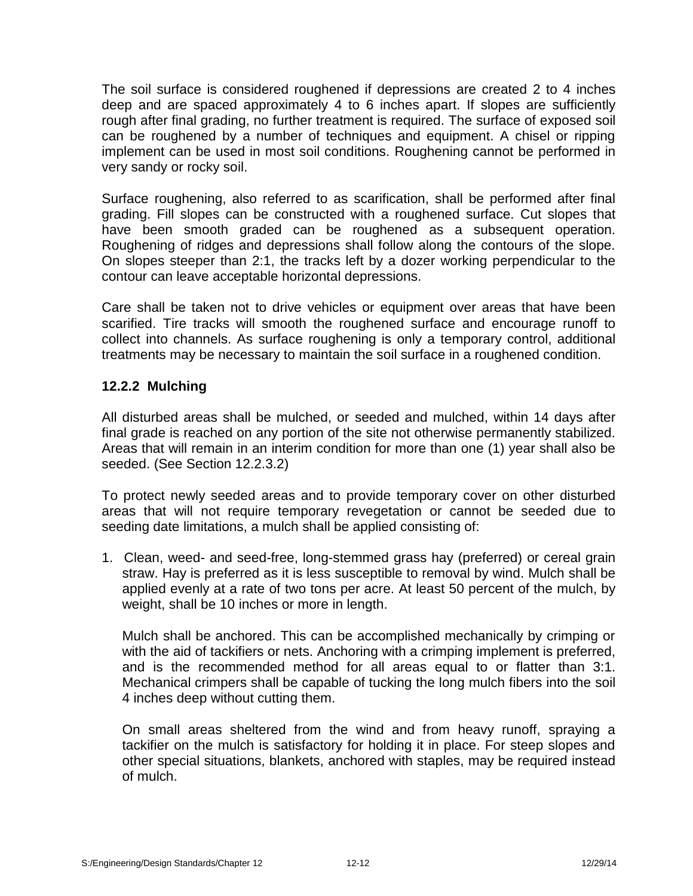The soil surface is considered roughened if depressions are created 2 to 4 inches deep and are spaced approximately 4 to 6 inches apart. If slopes are sufficiently rough after final grading, no further treatment is required. The surface of exposed soil can be roughened by a number of techniques and equipment. A chisel or ripping implement can be used in most soil conditions. Roughening cannot be performed in very sandy or rocky soil.

Surface roughening, also referred to as scarification, shall be performed after final grading. Fill slopes can be constructed with a roughened surface. Cut slopes that have been smooth graded can be roughened as a subsequent operation. Roughening of ridges and depressions shall follow along the contours of the slope. On slopes steeper than 2:1, the tracks left by a dozer working perpendicular to the contour can leave acceptable horizontal depressions.

Care shall be taken not to drive vehicles or equipment over areas that have been scarified. Tire tracks will smooth the roughened surface and encourage runoff to collect into channels. As surface roughening is only a temporary control, additional treatments may be necessary to maintain the soil surface in a roughened condition.

# **12.2.2 Mulching**

All disturbed areas shall be mulched, or seeded and mulched, within 14 days after final grade is reached on any portion of the site not otherwise permanently stabilized. Areas that will remain in an interim condition for more than one (1) year shall also be seeded. (See Section 12.2.3.2)

To protect newly seeded areas and to provide temporary cover on other disturbed areas that will not require temporary revegetation or cannot be seeded due to seeding date limitations, a mulch shall be applied consisting of:

1. Clean, weed- and seed-free, long-stemmed grass hay (preferred) or cereal grain straw. Hay is preferred as it is less susceptible to removal by wind. Mulch shall be applied evenly at a rate of two tons per acre. At least 50 percent of the mulch, by weight, shall be 10 inches or more in length.

Mulch shall be anchored. This can be accomplished mechanically by crimping or with the aid of tackifiers or nets. Anchoring with a crimping implement is preferred, and is the recommended method for all areas equal to or flatter than 3:1. Mechanical crimpers shall be capable of tucking the long mulch fibers into the soil 4 inches deep without cutting them.

On small areas sheltered from thewind and from heavy runoff, spraying a tackifier on the mulch is satisfactory for holding it in place. For steep slopes and other special situations, blankets, anchored with staples, may be required instead of mulch.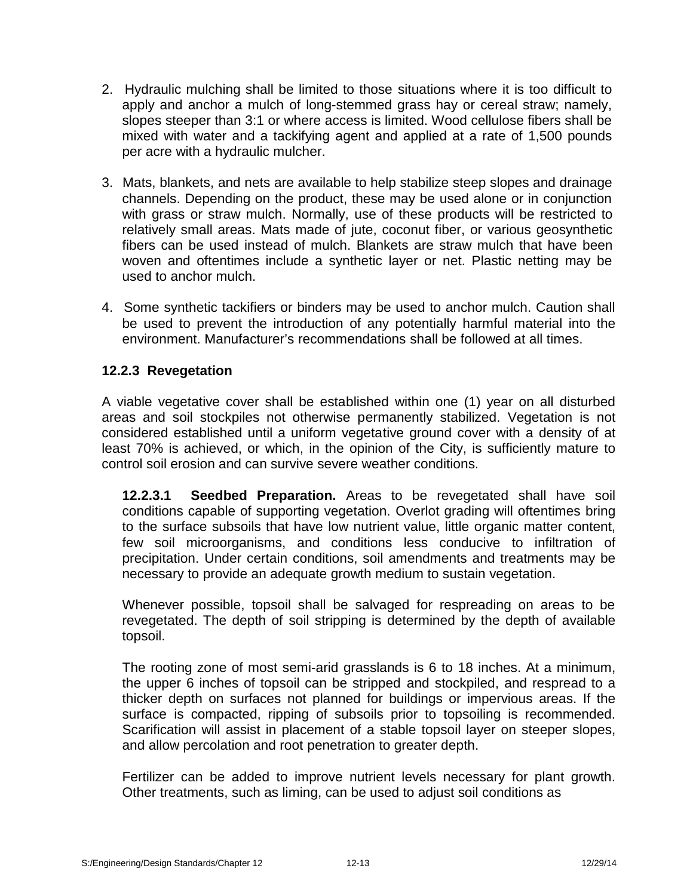- 2. Hydraulic mulching shall be limited to those situations where it is too difficult to apply and anchor a mulch of long-stemmed grass hay or cereal straw; namely, slopes steeper than 3:1 or where access is limited. Wood cellulose fibers shall be mixed with water and a tackifying agent and applied at a rate of 1,500 pounds per acre with a hydraulic mulcher.
- 3. Mats, blankets, and nets are available to help stabilize steep slopes and drainage channels. Depending on the product, these may be used alone or in conjunction with grass or straw mulch. Normally, use of these products will be restricted to relatively small areas. Mats made of jute, coconut fiber, or various geosynthetic fibers can be used instead of mulch. Blankets are straw mulch that have been woven and oftentimes include a synthetic layer or net. Plastic netting may be used to anchor mulch.
- 4. Some synthetic tackifiers or binders may be used to anchor mulch. Caution shall be used to prevent the introduction of any potentially harmful material into the environment. Manufacturer's recommendations shall be followed at all times.

# **12.2.3 Revegetation**

A viable vegetative cover shall be established within one (1) year on all disturbed areas and soil stockpiles not otherwise permanently stabilized. Vegetation is not considered established until a uniform vegetative ground cover with a density of at least 70% is achieved, or which, in the opinion of the City, is sufficiently mature to control soil erosion and can survive severe weather conditions.

**12.2.3.1 Seedbed Preparation.** Areas to be revegetated shall have soil conditions capable of supporting vegetation. Overlot grading will oftentimes bring to the surface subsoils that have low nutrient value, little organic matter content, few soil microorganisms, and conditions less conducive to infiltration of precipitation. Under certain conditions, soil amendments and treatments may be necessary to provide an adequate growth medium to sustain vegetation.

Whenever possible, topsoil shall be salvaged for respreading on areas to be revegetated. The depth of soil stripping is determined by the depth of available topsoil.

The rooting zone of most semi-arid grasslands is 6 to 18 inches. At a minimum, the upper 6 inches of topsoil can be stripped and stockpiled, and respread to a thicker depth on surfaces not planned for buildings or impervious areas. If the surface is compacted, ripping of subsoils prior to topsoiling is recommended. Scarification will assist in placement of a stable topsoil layer on steeper slopes, and allow percolation and root penetration to greater depth.

Fertilizer can be added to improve nutrient levels necessary for plant growth. Other treatments, such as liming, can be used to adjust soil conditions as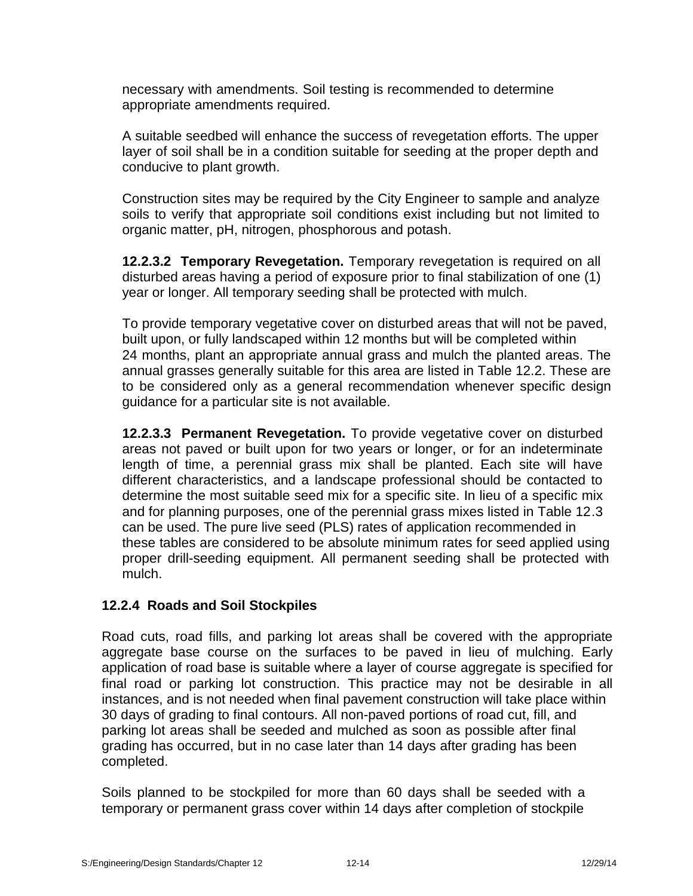necessary with amendments. Soil testing is recommended to determine appropriate amendments required.

A suitable seedbed will enhance the success of revegetation efforts. The upper layer of soil shall be in a condition suitable for seeding at the proper depth and conducive to plant growth.

Construction sites may be required by the City Engineer to sample and analyze soils to verify that appropriate soil conditions exist including but not limited to organic matter, pH, nitrogen, phosphorous and potash.

**12.2.3.2 Temporary Revegetation.** Temporary revegetation is required on all disturbed areas having a period of exposure prior to final stabilization of one (1) year or longer. All temporary seeding shall be protected with mulch.

To provide temporary vegetative cover on disturbed areas that will not be paved, built upon, or fully landscaped within 12 months but will be completed within 24 months, plant an appropriate annual grass and mulch the planted areas. The annual grasses generally suitable for this area are listed in Table 12.2. These are to be considered only as a general recommendation whenever specific design guidance for a particular site is not available.

**12.2.3.3 Permanent Revegetation.** To provide vegetative cover on disturbed areas not paved or built upon for two years or longer, or for an indeterminate length of time, a perennial grass mix shall be planted. Each site will have different characteristics, and a landscape professional should be contacted to determine the most suitable seed mix for a specific site. In lieu of a specific mix and for planning purposes, one of the perennial grass mixes listed in Table 12.3 can be used. The pure live seed (PLS) rates of application recommended in these tables are considered to be absolute minimum rates for seed applied using proper drill-seeding equipment. All permanent seeding shall be protected with mulch.

# **12.2.4 Roads and Soil Stockpiles**

Road cuts, road fills, and parking lot areas shall be covered with the appropriate aggregate base course on the surfaces to be paved in lieu of mulching. Early application of road base is suitable where a layer of course aggregate is specified for final road or parking lot construction. This practice may not be desirable in all instances, and is not needed when final pavement construction will take place within 30 days of grading to final contours. All non-paved portions of road cut, fill, and parking lot areas shall be seeded and mulched as soon as possible after final grading has occurred, but in no case later than 14 days after grading has been completed.

Soils planned to be stockpiled for more than 60 days shall be seeded with a temporary or permanent grass cover within 14 days after completion of stockpile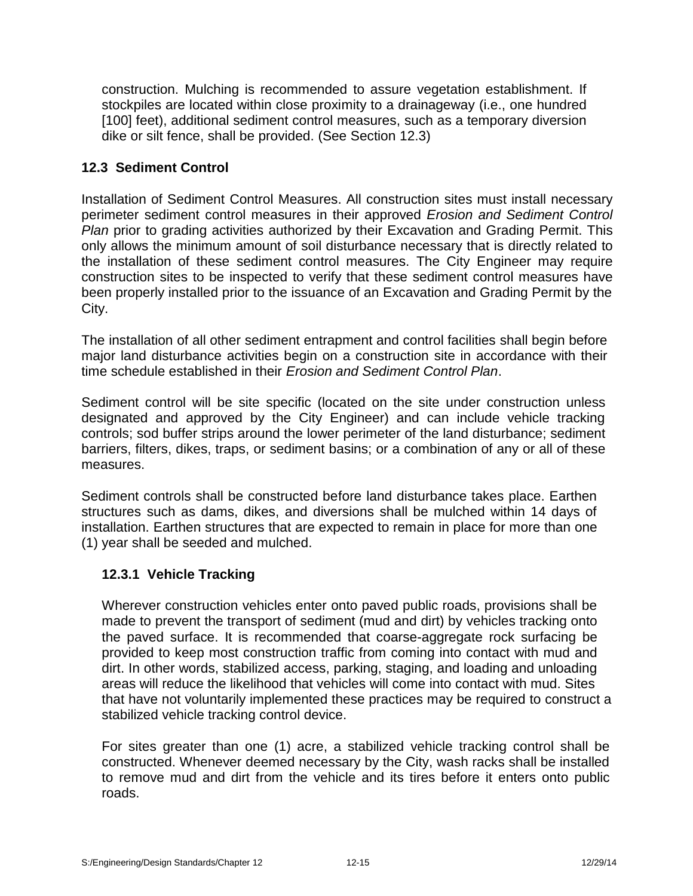construction. Mulching is recommended to assure vegetation establishment. If stockpiles are located within close proximity to a drainageway (i.e., one hundred [100] feet), additional sediment control measures, such as a temporary diversion dike or silt fence, shall be provided. (See Section 12.3)

# **12.3 Sediment Control**

Installation of Sediment Control Measures. All construction sites must install necessary perimeter sediment control measures in their approved *Erosion and Sediment Control Plan* prior to grading activities authorized by their Excavation and Grading Permit. This only allows the minimum amount of soil disturbance necessary that is directly related to the installation of these sediment control measures. The City Engineer may require construction sites to be inspected to verify that these sediment control measures have been properly installed prior to the issuance of an Excavation and Grading Permit by the City.

The installation of all other sediment entrapment and control facilities shall begin before major land disturbance activities begin on a construction site in accordance with their time schedule established in their *Erosion and Sediment Control Plan*.

Sediment control will be site specific (located on the site under construction unless designated and approved by the City Engineer) and can include vehicle tracking controls; sod buffer strips around the lower perimeter of the land disturbance; sediment barriers, filters, dikes, traps, or sediment basins; or a combination of any or all of these measures.

Sediment controls shall be constructed before land disturbance takes place. Earthen structures such as dams, dikes, and diversions shall be mulched within 14 days of installation. Earthen structures that are expected to remain in place for more than one (1) year shall be seeded and mulched.

# **12.3.1 Vehicle Tracking**

Wherever construction vehicles enter onto paved public roads, provisions shall be made to prevent the transport of sediment (mud and dirt) by vehicles tracking onto the paved surface. It is recommended that coarse-aggregate rock surfacing be provided to keep most construction traffic from coming into contact with mud and dirt. In other words, stabilized access, parking, staging, and loading and unloading areas will reduce the likelihood that vehicles will come into contact with mud. Sites that have not voluntarily implemented these practices may be required to construct a stabilized vehicle tracking control device.

For sites greater than one (1) acre, a stabilized vehicle tracking control shall be constructed. Whenever deemed necessary by the City, wash racks shall be installed to remove mud and dirt from the vehicle and its tires before it enters onto public roads.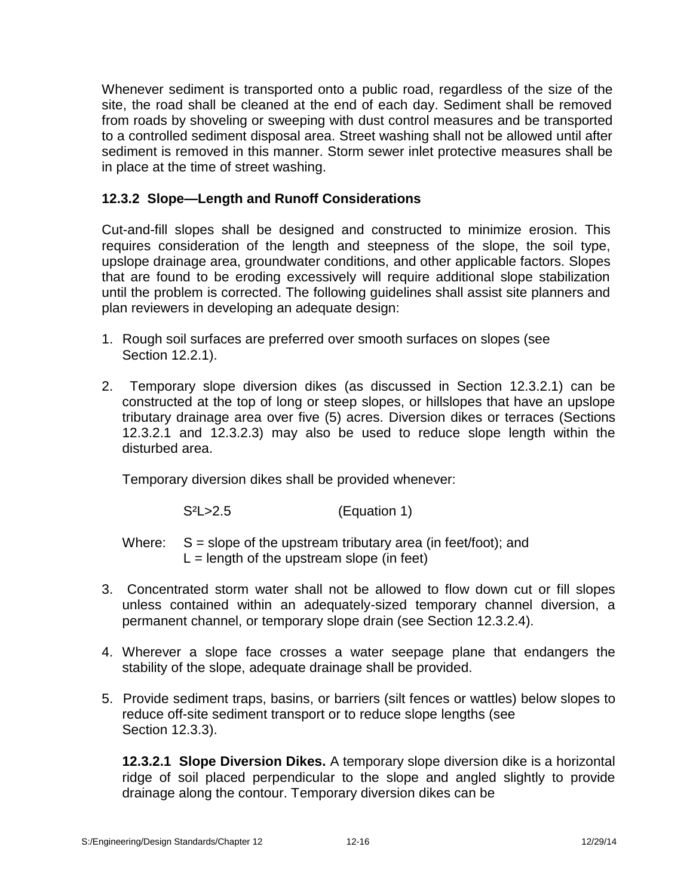Whenever sediment is transported onto a public road, regardless of the size of the site, the road shall be cleaned at the end of each day. Sediment shall be removed from roads by shoveling or sweeping with dust control measures and be transported to a controlled sediment disposal area. Street washing shall not be allowed until after sediment is removed in this manner. Storm sewer inlet protective measures shall be in place at the time of street washing.

# **12.3.2 Slope—Length and Runoff Considerations**

Cut-and-fill slopes shall be designed and constructed to minimize erosion. This requires consideration of the length and steepness of the slope, the soil type, upslope drainage area, groundwater conditions, and other applicable factors. Slopes that are found to be eroding excessively will require additional slope stabilization until the problem is corrected. The following guidelines shall assist site planners and plan reviewers in developing an adequate design:

- 1. Rough soil surfaces are preferred over smooth surfaces on slopes (see Section 12.2.1).
- 2. Temporary slope diversion dikes (as discussed in Section 12.3.2.1) can be constructed at the top of long or steep slopes, or hillslopes that have an upslope tributary drainage area over five (5) acres. Diversion dikes or terraces (Sections 12.3.2.1 and 12.3.2.3) may also be used to reduce slope length within the disturbed area.

Temporary diversion dikes shall be provided whenever:

S<sup>2</sup>L>2.5 (Equation 1)

Where:  $S =$  slope of the upstream tributary area (in feet/foot); and  $L =$  length of the upstream slope (in feet)

- 3. Concentrated storm water shall not be allowed to flow down cut or fill slopes unless contained within an adequately-sized temporary channel diversion, a permanent channel, or temporary slope drain (see Section 12.3.2.4).
- 4. Wherever a slope face crosses a water seepage plane that endangers the stability of the slope, adequate drainage shall be provided.
- 5. Provide sediment traps, basins, or barriers (silt fences orwattles) below slopes to reduce off-site sediment transport or to reduce slope lengths (see Section 12.3.3).

**12.3.2.1 Slope Diversion Dikes.** A temporary slope diversion dike is a horizontal ridge of soil placed perpendicular to the slope and angled slightly to provide drainage along the contour. Temporary diversion dikes can be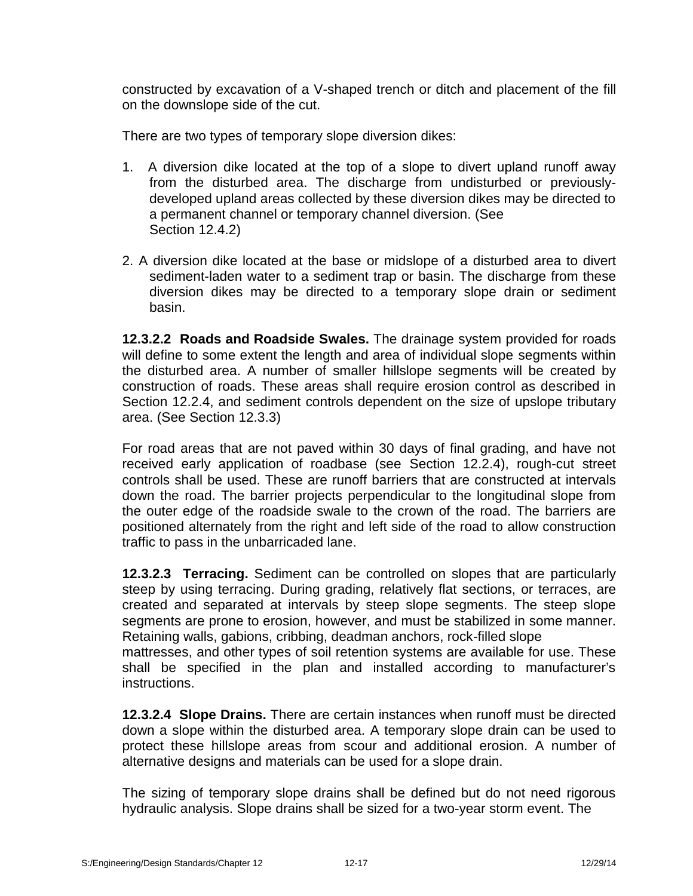constructed by excavation of a V-shaped trench or ditch and placement of the fill on the downslope side of the cut.

There are two types of temporary slope diversion dikes:

- 1. A diversion dike located at the top of a slope to divert upland runoff away from the disturbed area. The discharge from undisturbed or previouslydeveloped upland areas collected by these diversion dikes may be directed to a permanent channel or temporary channel diversion. (See Section 12.4.2)
- 2. A diversion dike located at the base or midslope of a disturbed area to divert sediment-laden water to a sediment trap or basin. The discharge from these diversion dikes may be directed to a temporary slope drain or sediment basin.

**12.3.2.2 Roads and Roadside Swales.** The drainage system provided for roads will define to some extent the length and area of individual slope segments within the disturbed area. A number of smaller hillslope segments will be created by construction of roads. These areas shall require erosion control as described in Section 12.2.4, and sediment controls dependent on the size of upslope tributary area. (See Section 12.3.3)

For road areas that are not paved within 30 days of final grading, and have not received early application of roadbase (see Section 12.2.4), rough-cut street controls shall be used. These are runoff barriers that are constructed at intervals down the road. The barrier projects perpendicular to the longitudinal slope from the outer edge of the roadside swale to the crown of the road. The barriers are positioned alternately from the right and left side of the road to allow construction traffic to pass in the unbarricaded lane.

**12.3.2.3 Terracing.** Sediment can be controlled on slopes that are particularly steep by using terracing. During grading, relatively flat sections, or terraces, are created and separated at intervals by steep slope segments. The steep slope segments are prone to erosion, however, and must be stabilized in some manner. Retaining walls, gabions, cribbing, deadman anchors, rock-filled slope mattresses, and other types of soil retention systems are available for use. These shall be specified in the plan and installed according to manufacturer's instructions.

**12.3.2.4 Slope Drains.** There are certain instances when runoff must be directed down a slope within the disturbed area. A temporary slope drain can be used to protect these hillslope areas from scour and additional erosion. A number of alternative designs and materials can be used for a slope drain.

The sizing of temporary slope drains shall be defined but do not need rigorous hydraulic analysis. Slope drains shall be sized for a two-year storm event. The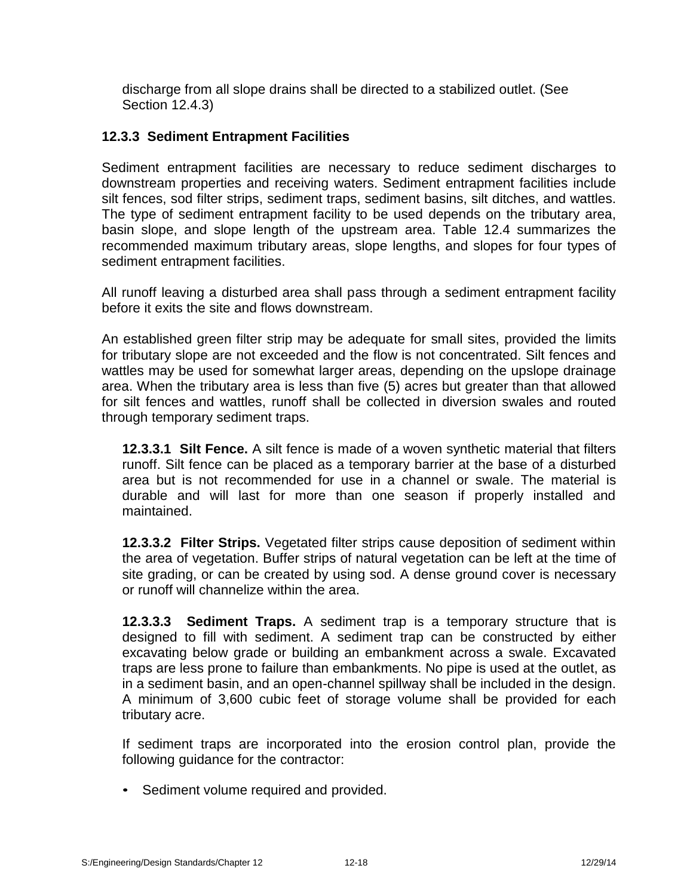discharge from all slope drains shall be directed to a stabilized outlet. (See Section 12.4.3)

# **12.3.3 Sediment Entrapment Facilities**

Sediment entrapment facilities are necessary to reduce sediment discharges to downstream properties and receiving waters. Sediment entrapment facilities include silt fences, sod filter strips, sediment traps, sediment basins, silt ditches, and wattles. The type of sediment entrapment facility to be used depends on the tributary area, basin slope, and slope length of the upstream area. Table 12.4 summarizes the recommended maximum tributary areas, slope lengths, and slopes for four types of sediment entrapment facilities.

All runoff leaving a disturbed area shall pass through a sediment entrapment facility before it exits the site and flows downstream.

An established green filter strip may be adequate for small sites, provided the limits for tributary slope are not exceeded and the flow is not concentrated. Silt fences and wattles may be used for somewhat larger areas, depending on the upslope drainage area. When the tributary area is less than five (5) acres but greater than that allowed for silt fences and wattles, runoff shall be collected in diversion swales and routed through temporary sediment traps.

**12.3.3.1 Silt Fence.** A silt fence is made of a woven synthetic material that filters runoff. Silt fence can be placed as a temporary barrier at the base of a disturbed area but is not recommended for use in a channel or swale. The material is durable and will last for more than one season if properly installed and maintained.

**12.3.3.2 Filter Strips.** Vegetated filter strips cause deposition of sediment within the area of vegetation. Buffer strips of natural vegetation can be left at the time of site grading, or can be created by using sod. A dense ground cover is necessary or runoff will channelize within the area.

**12.3.3.3 Sediment Traps.** A sediment trap is a temporary structure that is designed to fill with sediment. A sediment trap can be constructed by either excavating below grade or building an embankment across a swale. Excavated traps are less prone to failure than embankments. No pipe is used at the outlet, as in a sediment basin, and an open-channel spillway shall be included in the design. A minimum of 3,600 cubic feet of storage volume shall be provided for each tributary acre.

If sediment traps are incorporated into the erosion control plan, provide the following guidance for the contractor:

• Sediment volume required and provided.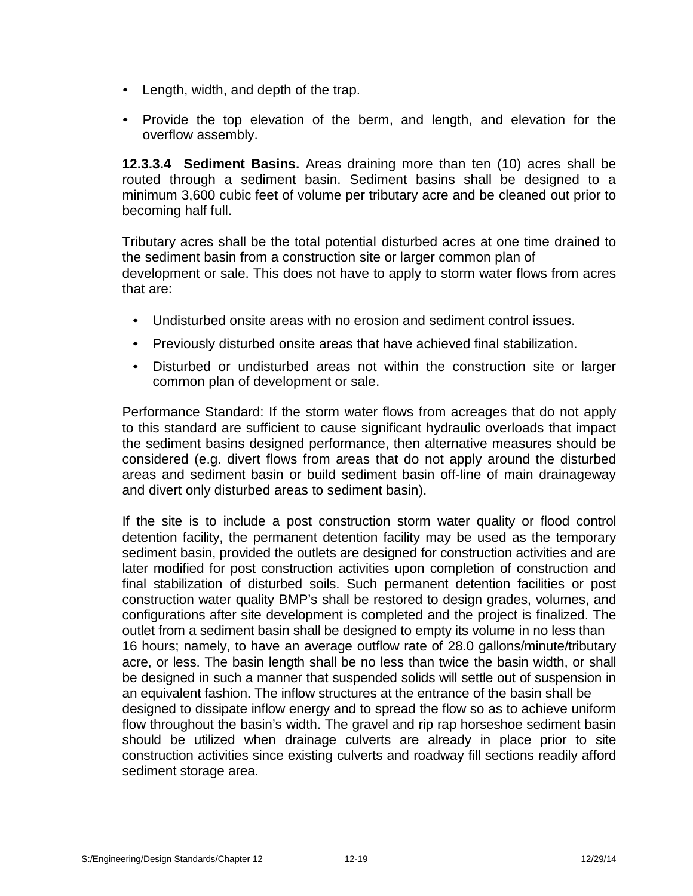- Length, width, and depth of the trap.
- Provide the top elevation of the berm, and length, and elevation for the overflow assembly.

**12.3.3.4 Sediment Basins.** Areas draining more than ten (10) acres shall be routed through a sediment basin. Sediment basins shall be designed to a minimum 3,600 cubic feet of volume per tributary acre and be cleaned out prior to becoming half full.

Tributary acres shall be the total potential disturbed acres at one time drained to the sediment basin from a construction site or larger common plan of development or sale. This does not have to apply to storm water flows from acres that are:

- Undisturbed onsite areas with no erosion and sediment control issues.
- Previously disturbed onsite areas that have achieved final stabilization.
- Disturbed or undisturbed areas not within the construction site or larger common plan of development or sale.

Performance Standard: If the storm water flows from acreages that do not apply to this standard are sufficient to cause significant hydraulic overloads that impact the sediment basins designed performance, then alternative measures should be considered (e.g. divert flows from areas that do not apply around the disturbed areas and sediment basin or build sediment basin off-line of main drainageway and divert only disturbed areas to sediment basin).

If the site is to include a post construction storm water quality or flood control detention facility, the permanent detention facility may be used as the temporary sediment basin, provided the outlets are designed for construction activities and are later modified for post construction activities upon completion of construction and final stabilization of disturbed soils. Such permanent detention facilities or post construction water quality BMP's shall be restored to design grades, volumes, and configurations after site development is completed and the project is finalized. The outlet from a sediment basin shall be designed to empty its volume in no less than 16 hours; namely, to have an average outflow rate of 28.0 gallons/minute/tributary acre, or less. The basin length shall be no less than twice the basin width, or shall be designed in such a manner that suspended solids will settle out of suspension in an equivalent fashion. The inflow structures at the entrance of the basin shall be designed to dissipate inflow energy and to spread the flow so as to achieve uniform flow throughout the basin's width. The gravel and rip rap horseshoe sediment basin should be utilized when drainage culverts are already in place prior to site construction activities since existing culverts and roadway fill sections readily afford sediment storage area.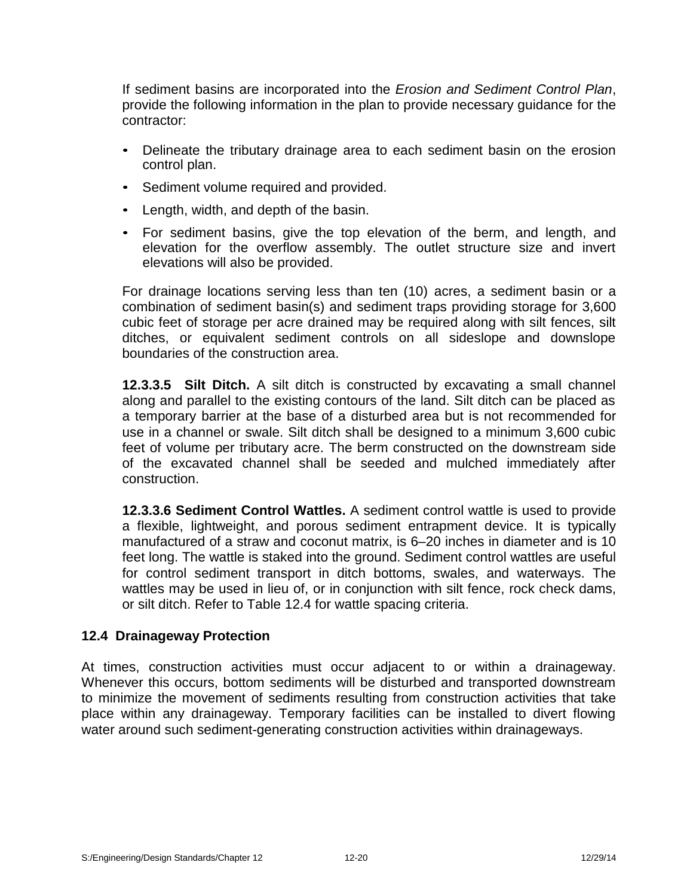If sediment basins are incorporated into the *Erosion and Sediment Control Plan*, provide the following information in the plan to provide necessary guidance for the contractor:

- Delineate the tributary drainage area to each sediment basin on the erosion control plan.
- Sediment volume required and provided.
- Length, width, and depth of the basin.
- For sediment basins, give the top elevation of the berm, and length, and elevation for the overflow assembly. The outlet structure size and invert elevations will also be provided.

For drainage locations serving less than ten (10) acres, a sediment basin or a combination of sediment basin(s) and sediment traps providing storage for 3,600 cubic feet of storage per acre drained may be required along with silt fences, silt ditches, or equivalent sediment controls on all sideslope and downslope boundaries of the construction area.

**12.3.3.5 Silt Ditch.** A silt ditch is constructed by excavating a small channel along and parallel to the existing contours of the land. Silt ditch can be placed as a temporary barrier at the base of a disturbed area but is not recommended for use in a channel or swale. Silt ditch shall be designed to a minimum 3,600 cubic feet of volume per tributary acre. The berm constructed on the downstream side of the excavated channel shall be seeded and mulched immediately after construction.

**12.3.3.6 Sediment Control Wattles.** A sediment control wattle is used to provide a flexible, lightweight, and porous sediment entrapment device. It is typically manufactured of a straw and coconut matrix, is 6–20 inches in diameter and is 10 feet long. The wattle is staked into the ground. Sediment control wattles are useful for control sediment transport in ditch bottoms, swales, and waterways. The wattles may be used in lieu of, or in conjunction with silt fence, rock check dams, or silt ditch. Refer to Table 12.4 for wattle spacing criteria.

# **12.4 Drainageway Protection**

At times, construction activities must occur adjacent to or within a drainageway. Whenever this occurs, bottom sediments will be disturbed and transported downstream to minimize the movement of sediments resulting from construction activities that take place within any drainageway. Temporary facilities can be installed to divert flowing water around such sediment-generating construction activities within drainageways.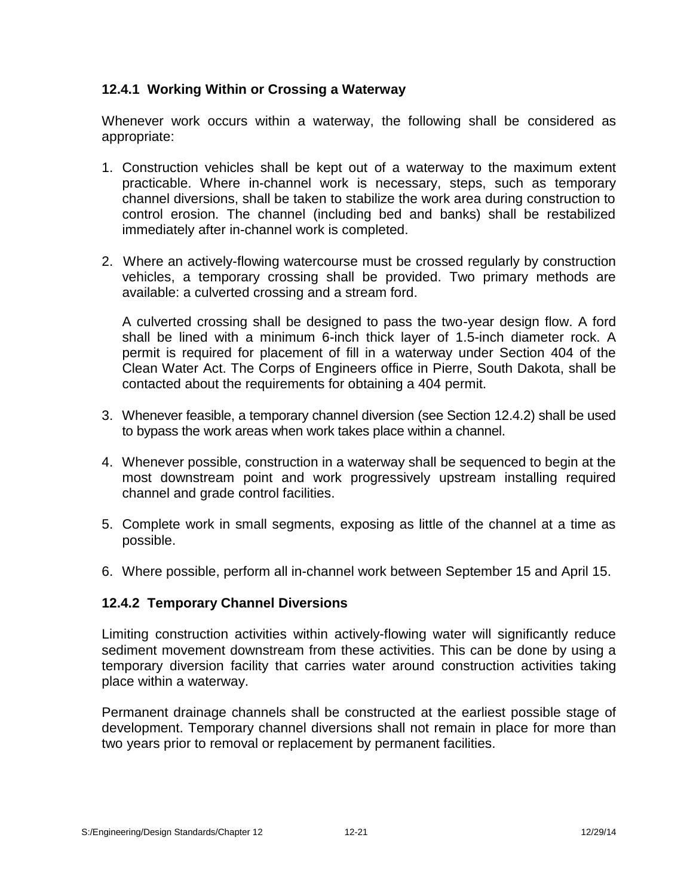# **12.4.1 Working Within or Crossing a Waterway**

Whenever work occurs within a waterway, the following shall be considered as appropriate:

- 1. Construction vehicles shall be kept out of a waterway to the maximum extent practicable. Where in-channel work is necessary, steps, such as temporary channel diversions, shall be taken to stabilize the work area during construction to control erosion. The channel (including bed and banks) shall be restabilized immediately after in-channel work is completed.
- 2. Where an actively-flowing watercourse must be crossed regularly by construction vehicles, a temporary crossing shall be provided. Two primary methods are available: a culverted crossing and a stream ford.

A culverted crossing shall be designed to pass the two-year design flow. A ford shall be lined with a minimum 6-inch thick layer of 1.5-inch diameter rock. A permit is required for placement of fill in a waterway under Section 404 of the Clean Water Act. The Corps of Engineers office in Pierre, South Dakota, shall be contacted about the requirements for obtaining a 404 permit.

- 3. Whenever feasible, a temporary channel diversion (see Section 12.4.2) shall be used to bypass the work areas when work takes place within a channel.
- 4. Whenever possible, construction in a waterway shall be sequenced to begin at the most downstream point and work progressively upstream installing required channel and grade control facilities.
- 5. Complete work in small segments, exposing as little of the channel at a time as possible.
- 6. Where possible, perform all in-channel work between September 15 and April 15.

# **12.4.2 Temporary Channel Diversions**

Limiting construction activities within actively-flowing water will significantly reduce sediment movement downstream from these activities. This can be done by using a temporary diversion facility that carries water around construction activities taking place within a waterway.

Permanent drainage channels shall be constructed at the earliest possible stage of development. Temporary channel diversions shall not remain in place for more than two years prior to removal or replacement by permanent facilities.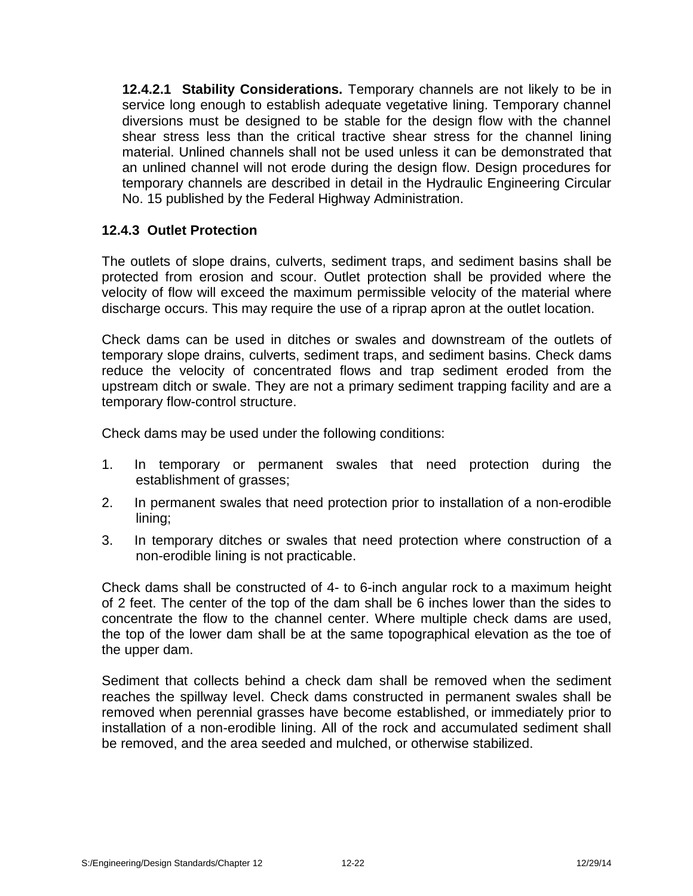**12.4.2.1 Stability Considerations.** Temporary channels are not likely to be in service long enough to establish adequate vegetative lining. Temporary channel diversions must be designed to be stable for the design flow with the channel shear stress less than the critical tractive shear stress for the channel lining material. Unlined channels shall not be used unless it can be demonstrated that an unlined channel will not erode during the design flow. Design procedures for temporary channels are described in detail in the Hydraulic Engineering Circular No. 15 published by the Federal Highway Administration.

# **12.4.3 Outlet Protection**

The outlets of slope drains, culverts, sediment traps, and sediment basins shall be protected from erosion and scour. Outlet protection shall be provided where the velocity of flow will exceed the maximum permissible velocity of the material where discharge occurs. This may require the use of a riprap apron at the outlet location.

Check dams can be used in ditches or swales and downstream of the outlets of temporary slope drains, culverts, sediment traps, and sediment basins. Check dams reduce the velocity of concentrated flows and trap sediment eroded from the upstream ditch or swale. They are not a primary sediment trapping facility and are a temporary flow-control structure.

Check dams may be used under the following conditions:

- 1. In temporary or permanent swales that need protection during the establishment of grasses;
- 2. In permanent swales that need protection prior to installation of a non-erodible lining;
- 3. In temporary ditches or swales that need protection where construction of a non-erodible lining is not practicable.

Check dams shall be constructed of 4- to 6-inch angular rock to a maximum height of 2 feet. The center of the top of the dam shall be 6 inches lower than the sides to concentrate the flow to the channel center. Where multiple check dams are used, the top of the lower dam shall be at the same topographical elevation as the toe of the upper dam.

Sediment that collects behind a check dam shall be removed when the sediment reaches the spillway level. Check dams constructed in permanent swales shall be removed when perennial grasses have become established, or immediately prior to installation of a non-erodible lining. All of the rock and accumulated sediment shall be removed, and the area seeded and mulched, or otherwise stabilized.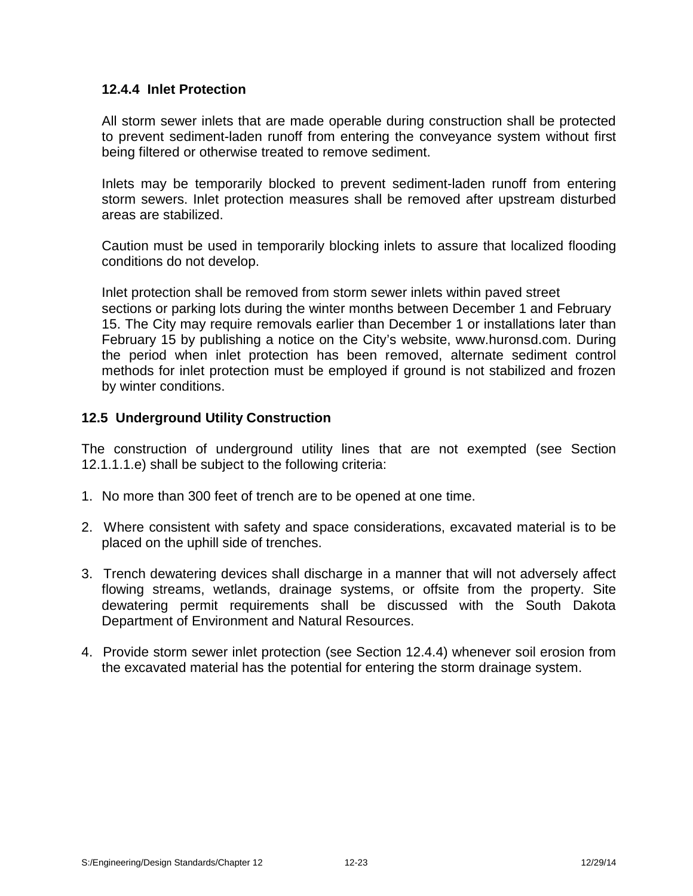# **12.4.4 Inlet Protection**

All storm sewer inlets that are made operable during construction shall be protected to prevent sediment-laden runoff from entering the conveyance system without first being filtered or otherwise treated to remove sediment.

Inlets may be temporarily blocked to prevent sediment-laden runoff from entering storm sewers. Inlet protection measures shall be removed after upstream disturbed areas are stabilized.

Caution must be used in temporarily blocking inlets to assure that localized flooding conditions do not develop.

Inlet protection shall be removed from storm sewer inlets within paved street sections or parking lots during the winter months between December 1 and February 15. The City may require removals earlier than December 1 or installations later than February 15 by publishing a notice on the City's website, www.huronsd.com. During the period when inlet protection has been removed, alternate sediment control methods for inlet protection must be employed if ground is not stabilized and frozen by winter conditions.

# **12.5 Underground Utility Construction**

The construction of underground utility lines that are not exempted (see Section 12.1.1.1.e) shall be subject to the following criteria:

- 1. No more than 300 feet of trench are to be opened at one time.
- 2. Where consistent with safety and space considerations, excavated material is to be placed on the uphill side of trenches.
- 3. Trench dewatering devices shall discharge in a manner that will not adversely affect flowing streams, wetlands, drainage systems, or offsite from the property. Site dewatering permit requirements shall be discussed with the South Dakota Department of Environment and Natural Resources.
- 4. Provide storm sewer inlet protection (see Section 12.4.4) whenever soil erosion from the excavated material has the potential for entering the storm drainage system.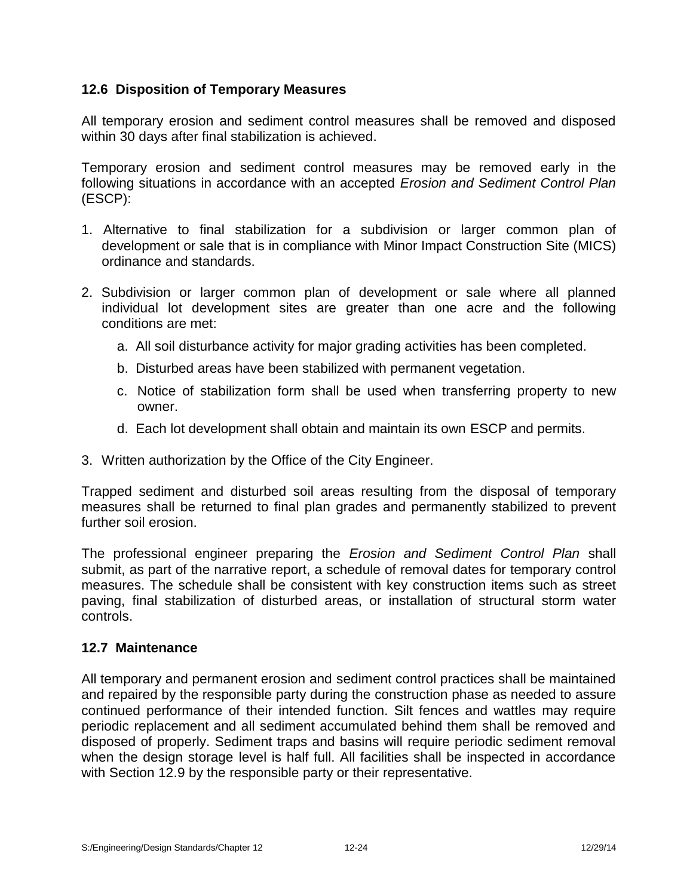# **12.6 Disposition of Temporary Measures**

All temporary erosion and sediment control measures shall be removed and disposed within 30 days after final stabilization is achieved.

Temporary erosion and sediment control measures may be removed early in the following situations in accordance with an accepted *Erosion and Sediment Control Plan* (ESCP):

- 1. Alternative to final stabilization for a subdivision or larger common plan of development or sale that is in compliance with Minor Impact Construction Site (MICS) ordinance and standards.
- 2. Subdivision or larger common plan of development or sale where all planned individual lot development sites are greater than one acre and the following conditions are met:
	- a. All soil disturbance activity for major grading activities has been completed.
	- b. Disturbed areas have been stabilized with permanent vegetation.
	- c. Notice of stabilization form shall be used when transferring property to new owner.
	- d. Each lot development shall obtain and maintain its own ESCP and permits.
- 3. Written authorization by the Office of the City Engineer.

Trapped sediment and disturbed soil areas resulting from the disposal of temporary measures shall be returned to final plan grades and permanently stabilized to prevent further soil erosion.

The professional engineer preparing the *Erosion and Sediment Control Plan* shall submit, as part of the narrative report, a schedule of removal dates for temporary control measures. The schedule shall be consistent with key construction items such as street paving, final stabilization of disturbed areas, or installation of structural storm water controls.

# **12.7 Maintenance**

All temporary and permanent erosion and sediment control practices shall be maintained and repaired by the responsible party during the construction phase as needed to assure continued performance of their intended function. Silt fences and wattles may require periodic replacement and all sediment accumulated behind them shall be removed and disposed of properly. Sediment traps and basins will require periodic sediment removal when the design storage level is half full. All facilities shall be inspected in accordance with Section 12.9 by the responsible party or their representative.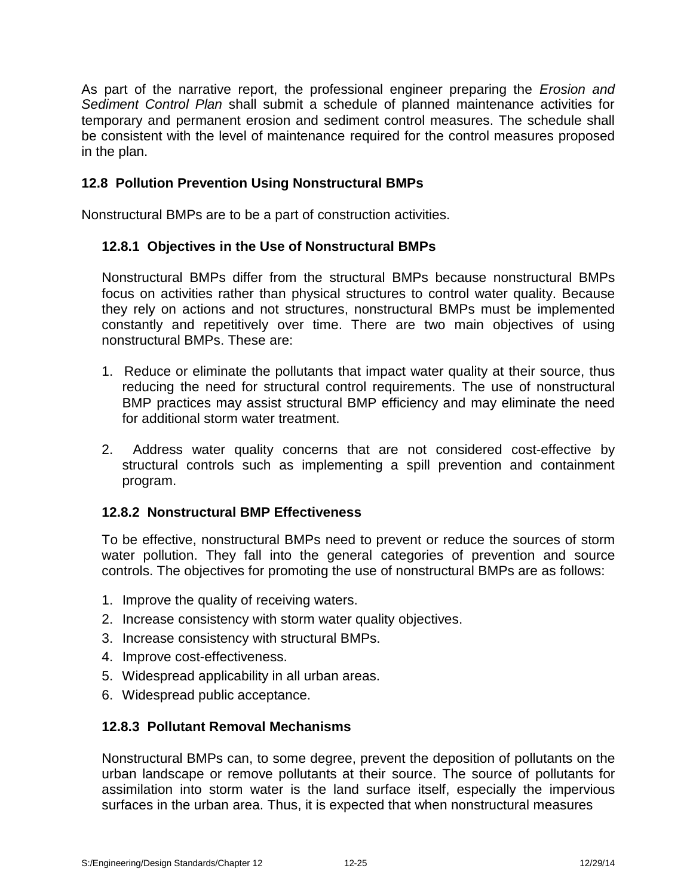As part of the narrative report, the professional engineer preparing the *Erosion and Sediment Control Plan* shall submit a schedule of planned maintenance activities for temporary and permanent erosion and sediment control measures. The schedule shall be consistent with the level of maintenance required for the control measures proposed in the plan.

# **12.8 Pollution Prevention Using Nonstructural BMPs**

Nonstructural BMPs are to be a part of construction activities.

# **12.8.1 Objectives in the Use of Nonstructural BMPs**

Nonstructural BMPs differ from the structural BMPs because nonstructural BMPs focus on activities rather than physical structures to control water quality. Because they rely on actions and not structures, nonstructural BMPs must be implemented constantly and repetitively over time. There are two main objectives of using nonstructural BMPs. These are:

- 1. Reduce or eliminate the pollutants that impact water quality at their source, thus reducing the need for structural control requirements. The use of nonstructural BMP practices may assist structural BMP efficiency and may eliminate the need for additional storm water treatment.
- 2. Address water quality concerns that are not considered cost-effective by structural controls such as implementing a spill prevention and containment program.

# **12.8.2 Nonstructural BMP Effectiveness**

To be effective, nonstructural BMPs need to prevent or reduce the sources of storm water pollution. They fall into the general categories of prevention and source controls. The objectives for promoting the use of nonstructural BMPs are as follows:

- 1. Improve the quality of receiving waters.
- 2. Increase consistency with storm water quality objectives.
- 3. Increase consistency with structural BMPs.
- 4. Improve cost-effectiveness.
- 5. Widespread applicability in all urban areas.
- 6. Widespread public acceptance.

# **12.8.3 Pollutant Removal Mechanisms**

Nonstructural BMPs can, to some degree, prevent the deposition of pollutants on the urban landscape or remove pollutants at their source. The source of pollutants for assimilation into storm water is the land surface itself, especially the impervious surfaces in the urban area. Thus, it is expected that when nonstructural measures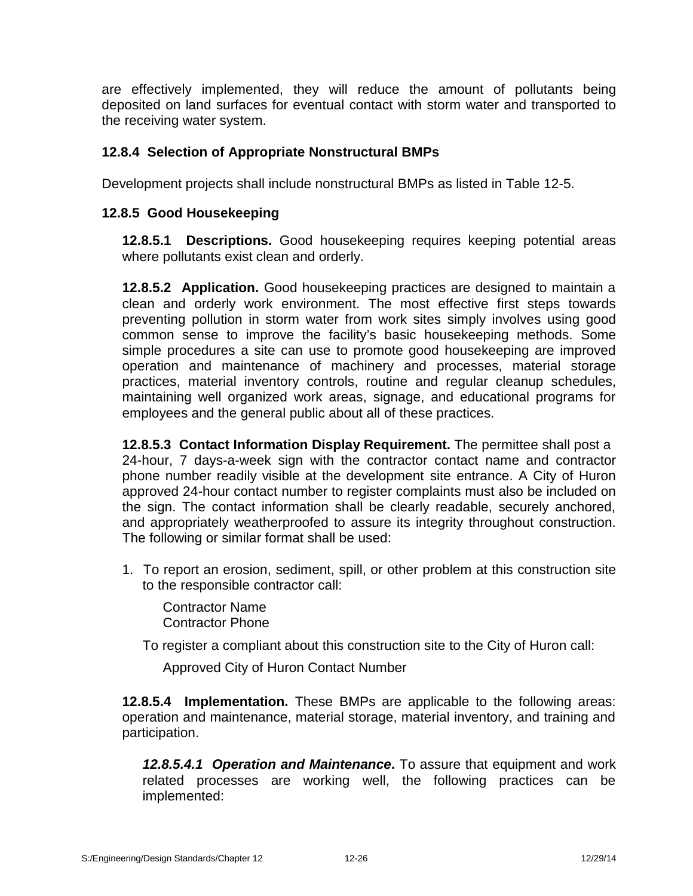are effectively implemented, they will reduce the amount of pollutants being deposited on land surfaces for eventual contact with storm water and transported to the receiving water system.

# **12.8.4 Selection of Appropriate Nonstructural BMPs**

Development projects shall include nonstructural BMPs as listed in Table 12-5.

# **12.8.5 Good Housekeeping**

**12.8.5.1 Descriptions.** Good housekeeping requires keeping potential areas where pollutants exist clean and orderly.

**12.8.5.2 Application.** Good housekeeping practices are designed to maintain a clean and orderly work environment. The most effective first steps towards preventing pollution in storm water from work sites simply involves using good common sense to improve the facility's basic housekeeping methods. Some simple procedures a site can use to promote good housekeeping are improved operation and maintenance of machinery and processes, material storage practices, material inventory controls, routine and regular cleanup schedules, maintaining well organized work areas, signage, and educational programs for employees and the general public about all of these practices.

**12.8.5.3 Contact Information Display Requirement.** The permittee shall post a 24-hour, 7 days-a-week sign with the contractor contact name and contractor phone number readily visible at the development site entrance. A City of Huron approved 24-hour contact number to register complaints must also be included on the sign. The contact information shall be clearly readable, securely anchored, and appropriately weatherproofed to assure its integrity throughout construction. The following or similar format shall be used:

1. To report an erosion, sediment, spill, or other problem at this construction site to the responsible contractor call:

Contractor Name Contractor Phone

To register a compliant about this construction site to the City of Huron call:

Approved City of Huron Contact Number

**12.8.5.4 Implementation.** These BMPs are applicable to the following areas: operation and maintenance, material storage, material inventory, and training and participation.

**12.8.5.4.1 Operation and Maintenance**. To assure that equipment and work related processes are working well, the following practices can be implemented: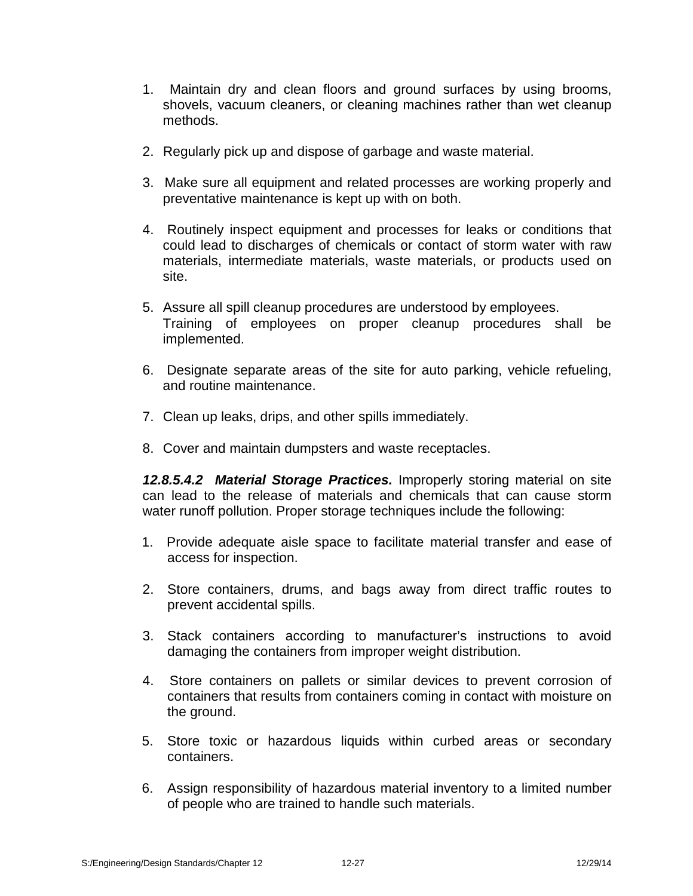- 1. Maintain dry and clean floors and ground surfaces by using brooms, shovels, vacuum cleaners, or cleaning machines rather than wet cleanup methods.
- 2. Regularly pick up and dispose of garbage and waste material.
- 3. Make sure all equipment and related processes are working properly and preventative maintenance is kept up with on both.
- 4. Routinely inspect equipment and processes for leaks or conditions that could lead to discharges of chemicals or contact of storm water with raw materials, intermediate materials, waste materials, or products used on site.
- 5. Assure all spill cleanup procedures are understood by employees. Training of employees on proper cleanup procedures shall be implemented.
- 6. Designate separate areas of the site for auto parking, vehicle refueling, and routine maintenance.
- 7. Clean up leaks, drips, and other spills immediately.
- 8. Cover and maintain dumpsters and waste receptacles.

*12.8.5.4.2 Material Storage Practices.* Improperly storing material on site can lead to the release of materials and chemicals that can cause storm water runoff pollution. Proper storage techniques include the following:

- 1. Provide adequate aisle space to facilitate material transfer and ease of access for inspection.
- 2. Store containers, drums, and bags away from direct traffic routes to prevent accidental spills.
- 3. Stack containers according to manufacturer's instructions to avoid damaging the containers from improper weight distribution.
- 4. Store containers on pallets or similar devices to prevent corrosion of containers that results from containers coming in contact with moisture on the ground.
- 5. Store toxic or hazardous liquids within curbed areas or secondary containers.
- 6. Assign responsibility of hazardous material inventory to a limited number of people who are trained to handle such materials.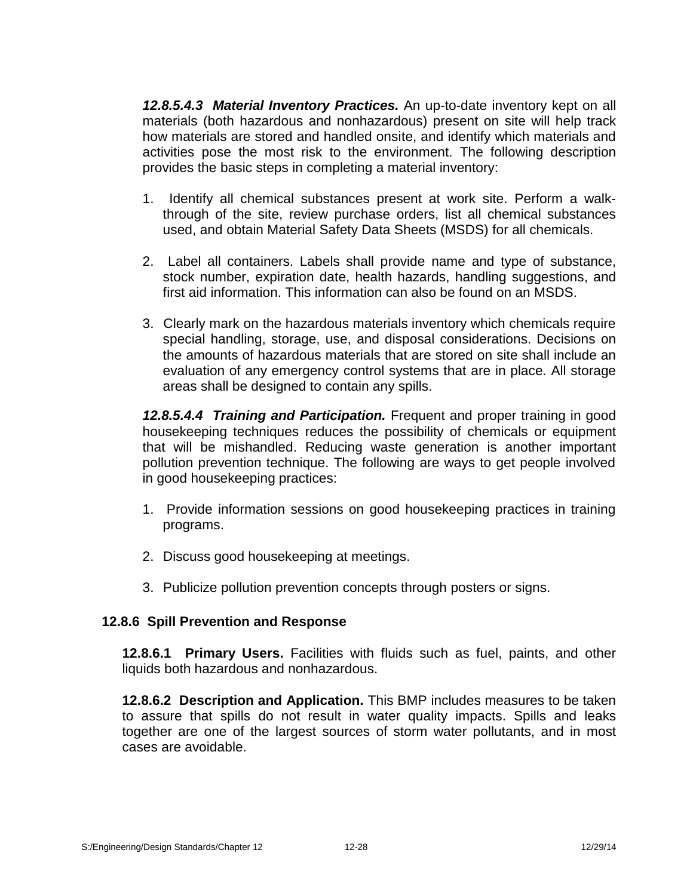*12.8.5.4.3 Material Inventory Practices.* An up-to-date inventory kept on all materials (both hazardous and nonhazardous) present on site will help track how materials are stored and handled onsite, and identify which materials and activities pose the most risk to the environment. The following description provides the basic steps in completing a material inventory:

- 1. Identify all chemical substances present at work site. Perform a walkthrough of the site, review purchase orders, list all chemical substances used, and obtain Material Safety Data Sheets (MSDS) for all chemicals.
- 2. Label all containers. Labels shall provide name and type of substance, stock number, expiration date, health hazards, handling suggestions, and first aid information. This information can also be found on an MSDS.
- 3. Clearly mark on the hazardous materials inventory which chemicals require special handling, storage, use, and disposal considerations. Decisions on the amounts of hazardous materials that are stored on site shall include an evaluation of any emergency control systems that are in place. All storage areas shall be designed to contain any spills.

*12.8.5.4.4 Training and Participation.* Frequent and proper training in good housekeeping techniques reduces the possibility of chemicals or equipment that will be mishandled. Reducing waste generation is another important pollution prevention technique. The following are ways to get people involved in good housekeeping practices:

- 1. Provide information sessions on good housekeeping practices in training programs.
- 2. Discuss good housekeeping at meetings.
- 3. Publicize pollution prevention concepts through posters or signs.

# **12.8.6 Spill Prevention and Response**

**12.8.6.1 Primary Users.** Facilities with fluids such as fuel, paints, and other liquids both hazardous and nonhazardous.

**12.8.6.2 Description and Application.** This BMP includes measures to be taken to assure that spills do not result in water quality impacts. Spills and leaks together are one of the largest sources of storm water pollutants, and in most cases are avoidable.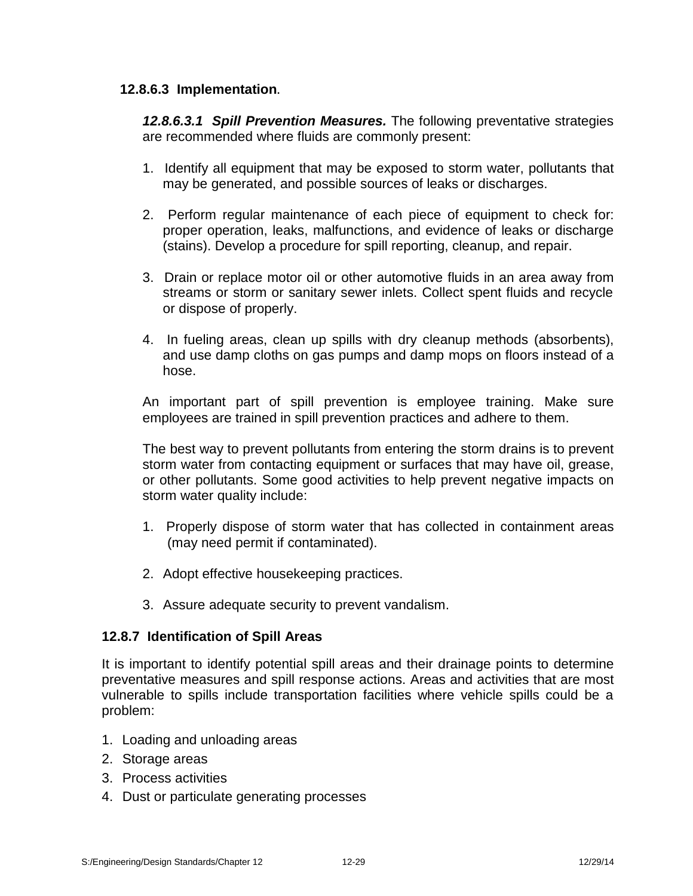# **12.8.6.3 Implementation.**

*12.8.6.3.1 Spill Prevention Measures.* The following preventative strategies are recommended where fluids are commonly present:

- 1. Identify all equipment that may be exposed to storm water, pollutants that may be generated, and possible sources of leaks or discharges.
- 2. Perform regular maintenance of each piece of equipment to check for: proper operation, leaks, malfunctions, and evidence of leaks or discharge (stains). Develop a procedure for spill reporting, cleanup, and repair.
- 3. Drain or replace motor oil or other automotive fluids in an area away from streams or storm or sanitary sewer inlets. Collect spent fluids and recycle or dispose of properly.
- 4. In fueling areas, clean up spills with dry cleanup methods (absorbents), and use damp cloths on gas pumps and damp mops on floors instead of a hose.

An important part of spill prevention is employee training. Make sure employees are trained in spill prevention practices and adhere to them.

The best way to prevent pollutants from entering the storm drains is to prevent storm water from contacting equipment or surfaces that may have oil, grease, or other pollutants. Some good activities to help prevent negative impacts on storm water quality include:

- 1. Properly dispose of storm water that has collected in containment areas (may need permit if contaminated).
- 2. Adopt effective housekeeping practices.
- 3. Assure adequate security to prevent vandalism.

# **12.8.7 Identification of Spill Areas**

It is important to identify potential spill areas and their drainage points to determine preventative measures and spill response actions. Areas and activities that are most vulnerable to spills include transportation facilities where vehicle spills could be a problem:

- 1. Loading and unloading areas
- 2. Storage areas
- 3. Process activities
- 4. Dust or particulate generating processes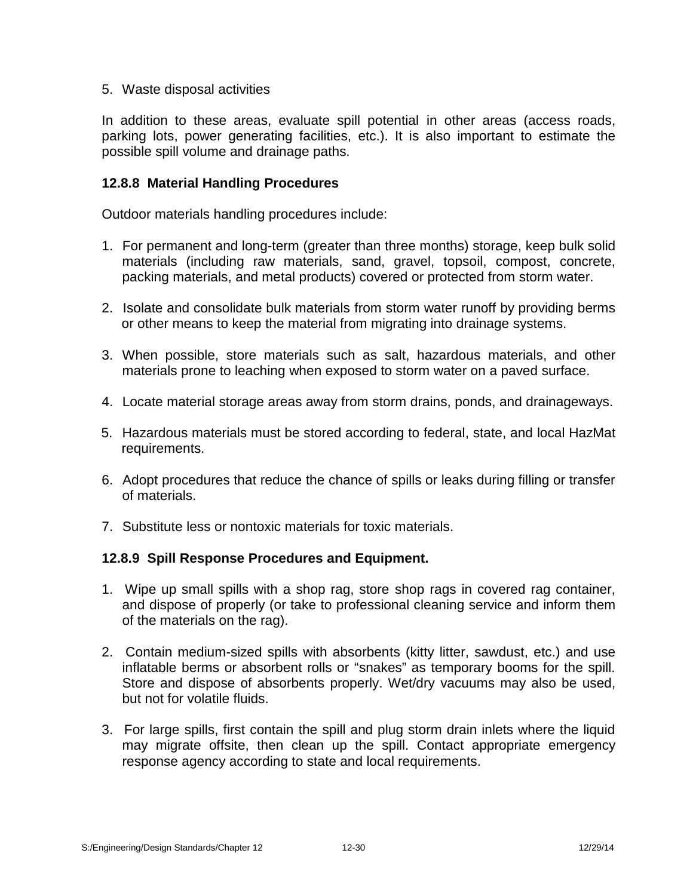# 5. Waste disposal activities

In addition to these areas, evaluate spill potential in other areas (access roads, parking lots, power generating facilities, etc.). It is also important to estimate the possible spill volume and drainage paths.

# **12.8.8 Material Handling Procedures**

Outdoor materials handling procedures include:

- 1. For permanent and long-term (greater than three months) storage, keep bulk solid materials (including raw materials, sand, gravel, topsoil, compost, concrete, packing materials, and metal products) covered or protected from storm water.
- 2. Isolate and consolidate bulk materials from storm water runoff by providing berms or other means to keep the material from migrating into drainage systems.
- 3. When possible, store materials such as salt, hazardous materials, and other materials prone to leaching when exposed to storm water on a paved surface.
- 4. Locate material storage areas away from storm drains, ponds, and drainageways.
- 5. Hazardous materials must be stored according to federal, state, and local HazMat requirements.
- 6. Adopt procedures that reduce the chance of spills or leaks during filling or transfer of materials.
- 7. Substitute less or nontoxic materials for toxic materials.

# **12.8.9 Spill Response Procedures and Equipment.**

- 1. Wipe up small spills with a shop rag, store shop rags in covered rag container, and dispose of properly (or take to professional cleaning service and inform them of the materials on the rag).
- 2. Contain medium-sized spills with absorbents (kitty litter, sawdust, etc.) and use inflatable berms or absorbent rolls or "snakes" as temporary booms for the spill. Store and dispose of absorbents properly. Wet/dry vacuums may also be used, but not for volatile fluids.
- 3. For large spills, first contain the spill and plug storm drain inlets where the liquid may migrate offsite, then clean up the spill. Contact appropriate emergency response agency according to state and local requirements.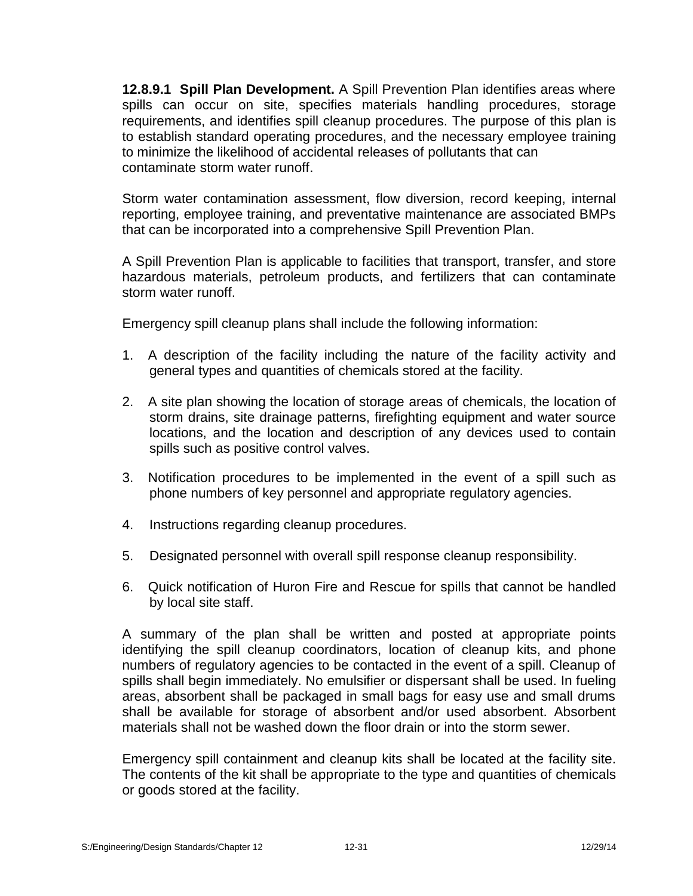**12.8.9.1 Spill Plan Development.** A Spill Prevention Plan identifies areas where spills can occur on site, specifies materials handling procedures, storage requirements, and identifies spill cleanup procedures. The purpose of this plan is to establish standard operating procedures, and the necessary employee training to minimize the likelihood of accidental releases of pollutants that can contaminate storm water runoff.

Storm water contamination assessment, flow diversion, record keeping, internal reporting, employee training, and preventative maintenance are associated BMPs that can be incorporated into a comprehensive Spill Prevention Plan.

A Spill Prevention Plan is applicable to facilities that transport, transfer, and store hazardous materials, petroleum products, and fertilizers that can contaminate storm water runoff.

Emergency spill cleanup plans shall include the following information:

- 1. A description of the facility including the nature of the facility activity and general types and quantities of chemicals stored at the facility.
- 2. A site plan showing the location of storage areas of chemicals, the location of storm drains, site drainage patterns, firefighting equipment and water source locations, and the location and description of any devices used to contain spills such as positive control valves.
- 3. Notification procedures to be implemented in the event of a spill such as phone numbers of key personnel and appropriate regulatory agencies.
- 4. Instructions regarding cleanup procedures.
- 5. Designated personnel with overall spill response cleanup responsibility.
- 6. Quick notification of Huron Fire and Rescue for spills that cannot be handled by local site staff.

A summary of the plan shall be written and posted at appropriate points identifying the spill cleanup coordinators, location of cleanup kits, and phone numbers of regulatory agencies to be contacted in the event of a spill. Cleanup of spills shall begin immediately. No emulsifier or dispersant shall be used. In fueling areas, absorbent shall be packaged in small bags for easy use and small drums shall be available for storage of absorbent and/or used absorbent. Absorbent materials shall not be washed down the floor drain or into the storm sewer.

Emergency spill containment and cleanup kits shall be located at the facility site. The contents of the kit shall be appropriate to the type and quantities of chemicals or goods stored at the facility.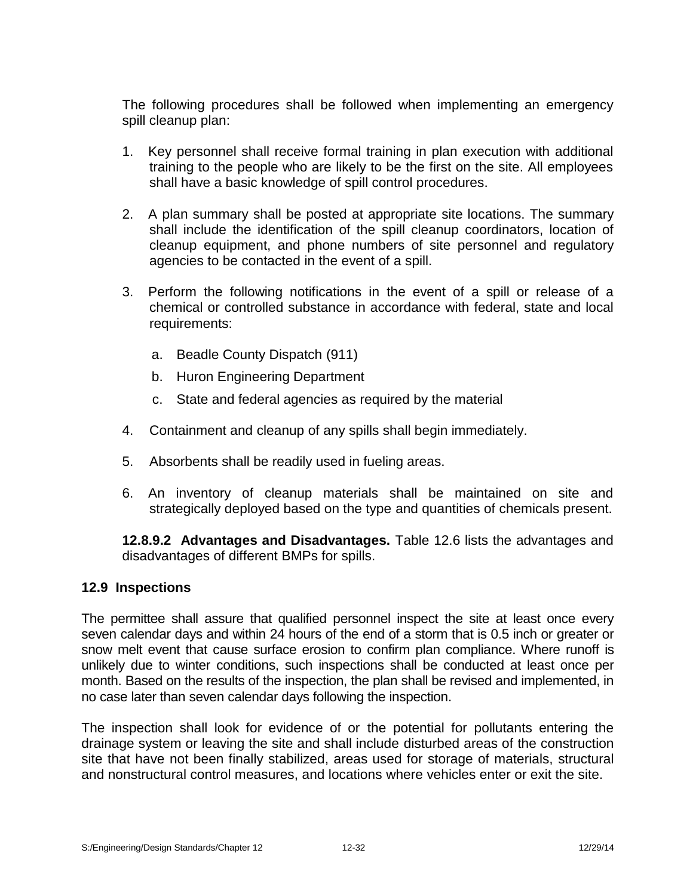The following procedures shall be followed when implementing an emergency spill cleanup plan:

- 1. Key personnel shall receive formal training in plan execution with additional training to the people who are likely to be the first on the site. All employees shall have a basic knowledge of spill control procedures.
- 2. A plan summary shall be posted at appropriate site locations. The summary shall include the identification of the spill cleanup coordinators, location of cleanup equipment, and phone numbers of site personnel and regulatory agencies to be contacted in the event of a spill.
- 3. Perform the following notifications in the event of a spill or release of a chemical or controlled substance in accordance with federal, state and local requirements:
	- a. Beadle County Dispatch (911)
	- b. Huron Engineering Department
	- c. State and federal agencies as required by the material
- 4. Containment and cleanup of any spills shall begin immediately.
- 5. Absorbents shall be readily used in fueling areas.
- 6. An inventory of cleanup materials shall be maintained on site and strategically deployed based on the type and quantities of chemicals present.

**12.8.9.2 Advantages and Disadvantages.** Table 12.6 lists the advantages and disadvantages of different BMPs for spills.

# **12.9 Inspections**

The permittee shall assure that qualified personnel inspect the site at least once every seven calendar days and within 24 hours of the end of a storm that is 0.5 inch or greater or snow melt event that cause surface erosion to confirm plan compliance. Where runoff is unlikely due to winter conditions, such inspections shall be conducted at least once per month. Based on the results of the inspection, the plan shall be revised and implemented, in no case later than seven calendar days following the inspection.

The inspection shall look for evidence of or the potential for pollutants entering the drainage system or leaving the site and shall include disturbed areas of the construction site that have not been finally stabilized, areas used for storage of materials, structural and nonstructural control measures, and locations where vehicles enter or exit the site.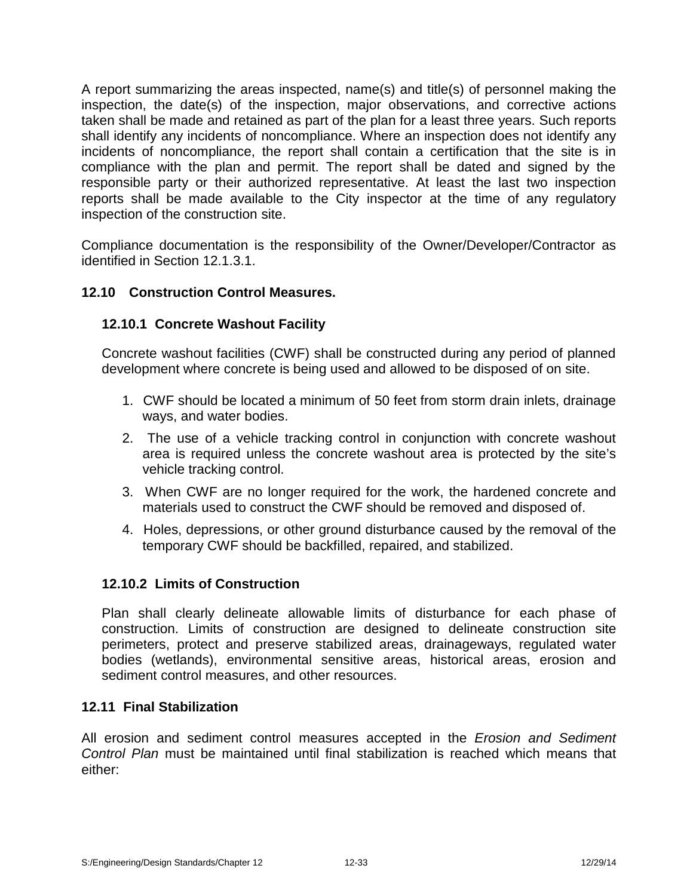A report summarizing the areas inspected, name(s) and title(s) of personnel making the inspection, the date(s) of the inspection, major observations, and corrective actions taken shall be made and retained as part of the plan for a least three years. Such reports shall identify any incidents of noncompliance. Where an inspection does not identify any incidents of noncompliance, the report shall contain a certification that the site is in compliance with the plan and permit. The report shall be dated and signed by the responsible party or their authorized representative. At least the last two inspection reports shall be made available to the City inspector at the time of any regulatory inspection of the construction site.

Compliance documentation is the responsibility of the Owner/Developer/Contractor as identified in Section 12.1.3.1.

# **12.10 Construction Control Measures.**

# **12.10.1 Concrete Washout Facility**

Concrete washout facilities (CWF) shall be constructed during any period of planned development where concrete is being used and allowed to be disposed of on site.

- 1. CWF should be located a minimum of 50 feet from storm drain inlets, drainage ways, and water bodies.
- 2. The use of a vehicle tracking control in conjunction with concrete washout area is required unless the concrete washout area is protected by the site's vehicle tracking control.
- 3. When CWF are no longer required for the work, the hardened concrete and materials used to construct the CWF should be removed and disposed of.
- 4. Holes, depressions, or other ground disturbance caused by the removal of the temporary CWF should be backfilled, repaired, and stabilized.

# **12.10.2 Limits of Construction**

Plan shall clearly delineate allowable limits of disturbance for each phase of construction. Limits of construction are designed to delineate construction site perimeters, protect and preserve stabilized areas, drainageways, regulated water bodies (wetlands), environmental sensitive areas, historical areas, erosion and sediment control measures, and other resources.

#### **12.11 Final Stabilization**

All erosion and sediment control measures accepted in the *Erosion and Sediment Control Plan* must be maintained until final stabilization is reached which means that either: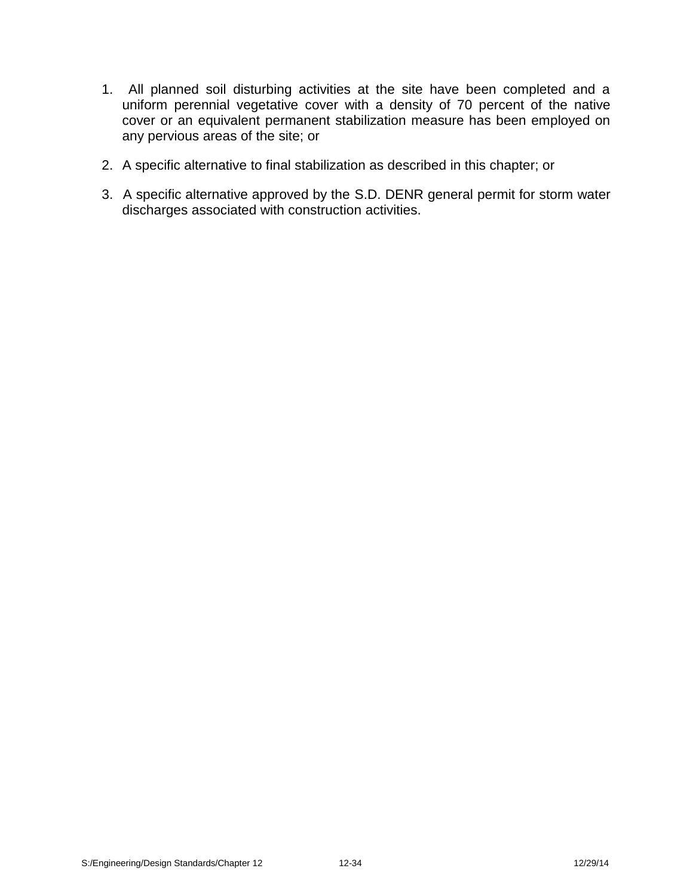- 1. All planned soil disturbing activities at the site have been completed and a uniform perennial vegetative cover with a density of 70 percent of the native cover or an equivalent permanent stabilization measure has been employed on any pervious areas of the site; or
- 2. A specific alternative to final stabilization as described in this chapter; or
- 3. A specific alternative approved by the S.D. DENR general permit for storm water discharges associated with construction activities.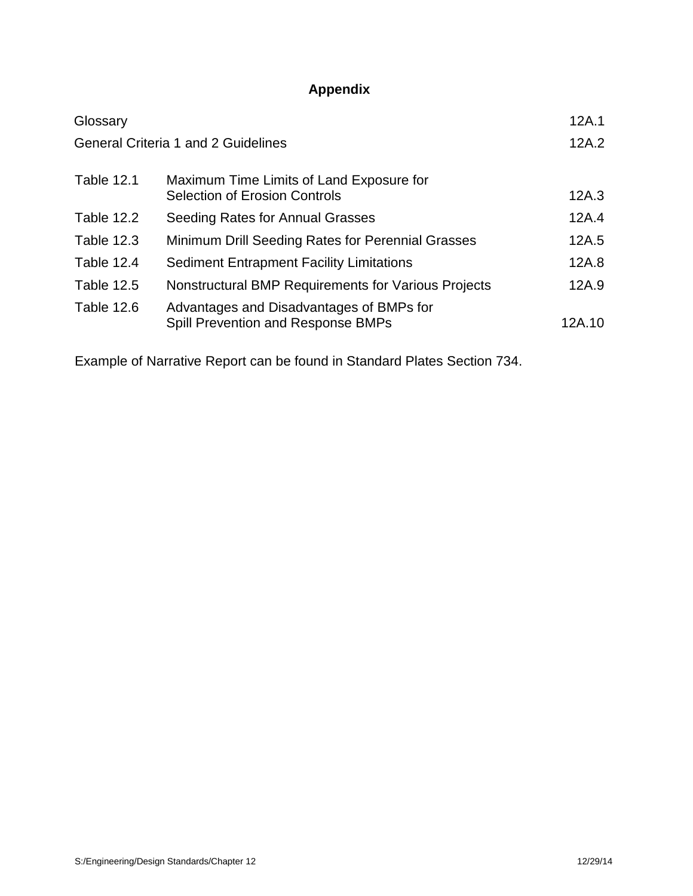# **Appendix**

| Glossary          |                                                                                  | 12A.1  |
|-------------------|----------------------------------------------------------------------------------|--------|
|                   | <b>General Criteria 1 and 2 Guidelines</b>                                       | 12A.2  |
| <b>Table 12.1</b> | Maximum Time Limits of Land Exposure for<br><b>Selection of Erosion Controls</b> | 12A.3  |
| <b>Table 12.2</b> | Seeding Rates for Annual Grasses                                                 | 12A.4  |
| <b>Table 12.3</b> | Minimum Drill Seeding Rates for Perennial Grasses                                | 12A.5  |
| Table 12.4        | <b>Sediment Entrapment Facility Limitations</b>                                  | 12A.8  |
| <b>Table 12.5</b> | Nonstructural BMP Requirements for Various Projects                              | 12A.9  |
| Table 12.6        | Advantages and Disadvantages of BMPs for<br>Spill Prevention and Response BMPs   | 12A.10 |

Example of Narrative Report can be found in Standard Plates Section 734.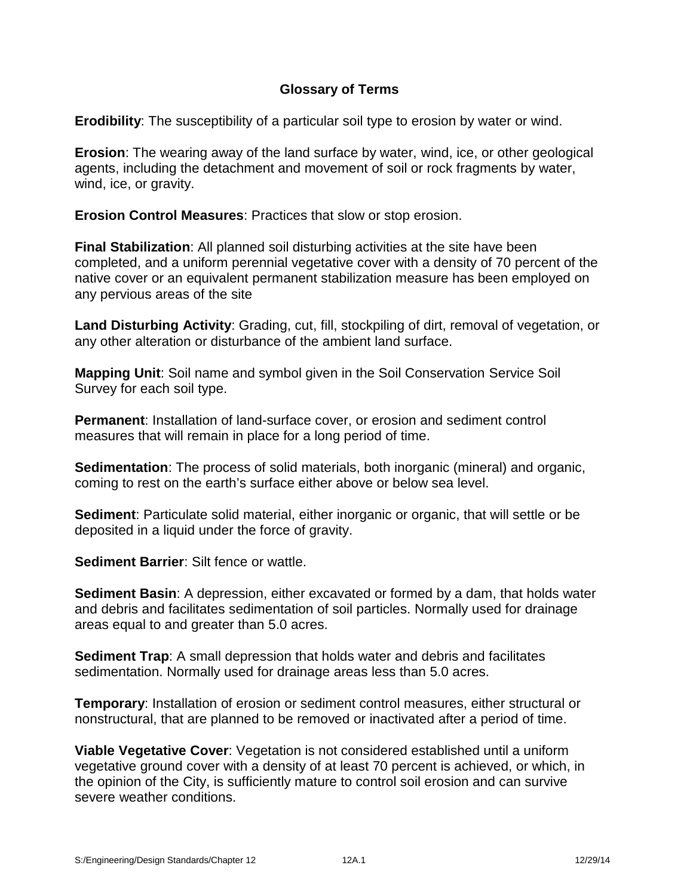# **Glossary of Terms**

**Erodibility**: The susceptibility of a particular soil type to erosion by water or wind.

**Erosion**: The wearing away of the land surface by water, wind, ice, or other geological agents, including the detachment and movement of soil or rock fragments by water, wind, ice, or gravity.

**Erosion Control Measures**: Practices that slow or stop erosion.

**Final Stabilization**: All planned soil disturbing activities at the site have been completed, and a uniform perennial vegetative cover with a density of 70 percent of the native cover or an equivalent permanent stabilization measure has been employed on any pervious areas of the site

**Land Disturbing Activity**: Grading, cut, fill, stockpiling of dirt, removal of vegetation, or any other alteration or disturbance of the ambient land surface.

**Mapping Unit**: Soil name and symbol given in the Soil Conservation Service Soil Survey for each soil type.

**Permanent**: Installation of land-surface cover, or erosion and sediment control measures that will remain in place for a long period of time.

**Sedimentation**: The process of solid materials, both inorganic (mineral) and organic, coming to rest on the earth's surface either above or below sea level.

**Sediment:** Particulate solid material, either inorganic or organic, that will settle or be deposited in a liquid under the force of gravity.

**Sediment Barrier**: Silt fence or wattle.

**Sediment Basin**: A depression, either excavated or formed by a dam, that holds water and debris and facilitates sedimentation of soil particles. Normally used for drainage areas equal to and greater than 5.0 acres.

**Sediment Trap**: A small depression that holds water and debris and facilitates sedimentation. Normally used for drainage areas less than 5.0 acres.

**Temporary**: Installation of erosion or sediment control measures, either structural or nonstructural, that are planned to be removed or inactivated after a period of time.

**Viable Vegetative Cover**: Vegetation is not considered established until a uniform vegetative ground cover with a density of at least 70 percent is achieved, or which, in the opinion of the City, is sufficiently mature to control soil erosion and can survive severe weather conditions.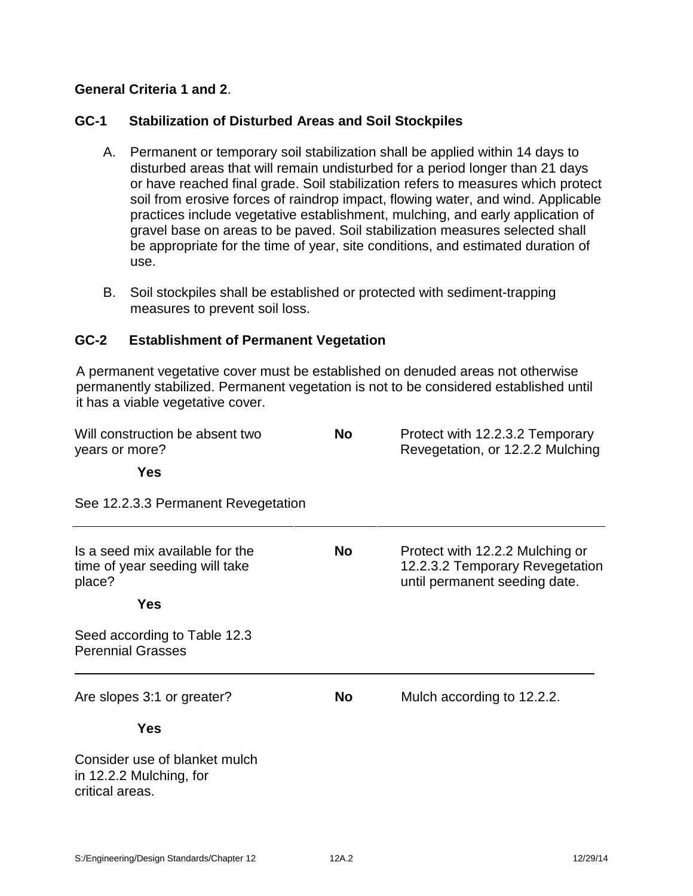# **General Criteria 1 and 2**.

# **GC-1 Stabilization of Disturbed Areas and Soil Stockpiles**

- A. Permanent or temporary soil stabilization shall be applied within 14 days to disturbed areas that will remain undisturbed for a period longer than 21 days or have reached final grade. Soil stabilization refers to measures which protect soil from erosive forces of raindrop impact, flowing water, and wind. Applicable practices include vegetative establishment, mulching, and early application of gravel base on areas to be paved. Soil stabilization measures selected shall be appropriate for the time of year, site conditions, and estimated duration of use.
- B. Soil stockpiles shall be established or protected with sediment-trapping measures to prevent soil loss.

#### **GC-2 Establishment of Permanent Vegetation**

A permanent vegetative cover must be established on denuded areas not otherwise permanently stabilized. Permanent vegetation is not to be considered established until it has a viable vegetative cover.

| Will construction be absent two<br>years or more?                           | <b>No</b> | Protect with 12.2.3.2 Temporary<br>Revegetation, or 12.2.2 Mulching                                 |
|-----------------------------------------------------------------------------|-----------|-----------------------------------------------------------------------------------------------------|
| <b>Yes</b>                                                                  |           |                                                                                                     |
| See 12.2.3.3 Permanent Revegetation                                         |           |                                                                                                     |
| Is a seed mix available for the<br>time of year seeding will take<br>place? | <b>No</b> | Protect with 12.2.2 Mulching or<br>12.2.3.2 Temporary Revegetation<br>until permanent seeding date. |
| <b>Yes</b>                                                                  |           |                                                                                                     |
| Seed according to Table 12.3<br><b>Perennial Grasses</b>                    |           |                                                                                                     |
| Are slopes 3:1 or greater?                                                  | <b>No</b> | Mulch according to 12.2.2.                                                                          |
| <b>Yes</b>                                                                  |           |                                                                                                     |
| Consider use of blanket mulch<br>in 12.2.2 Mulching, for<br>critical areas. |           |                                                                                                     |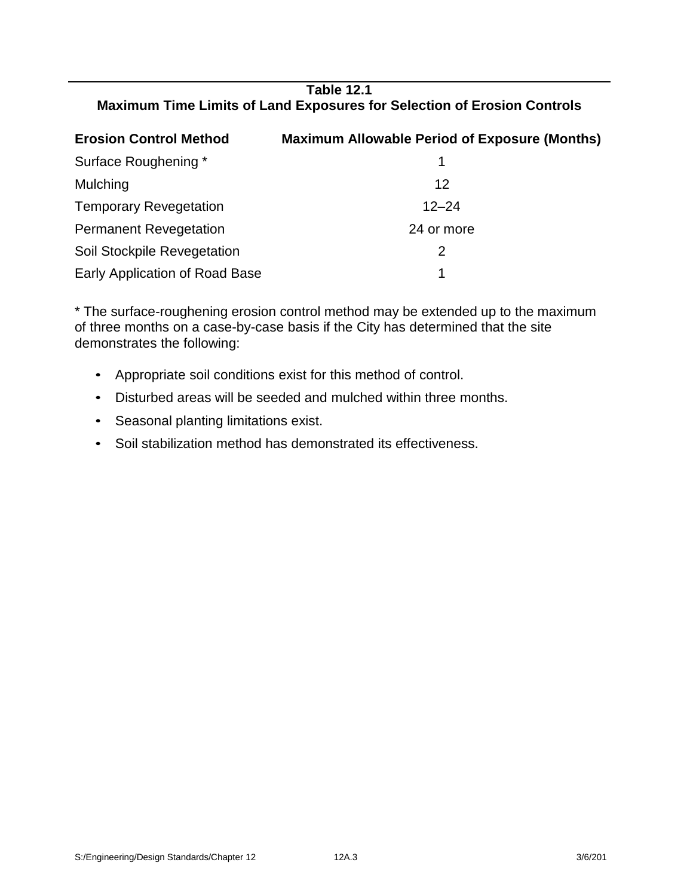# **Table 12.1 Maximum Time Limits of Land Exposures for Selection of Erosion Controls**

| <b>Erosion Control Method</b>  | <b>Maximum Allowable Period of Exposure (Months)</b> |
|--------------------------------|------------------------------------------------------|
| Surface Roughening *           |                                                      |
| Mulching                       | 12                                                   |
| <b>Temporary Revegetation</b>  | $12 - 24$                                            |
| <b>Permanent Revegetation</b>  | 24 or more                                           |
| Soil Stockpile Revegetation    | 2                                                    |
| Early Application of Road Base |                                                      |

\* The surface-roughening erosion control method may be extended up to the maximum of three months on a case-by-case basis if the City has determined that the site demonstrates the following:

- Appropriate soil conditions exist for this method of control.
- Disturbed areas will be seeded and mulched within three months.
- Seasonal planting limitations exist.
- Soil stabilization method has demonstrated its effectiveness.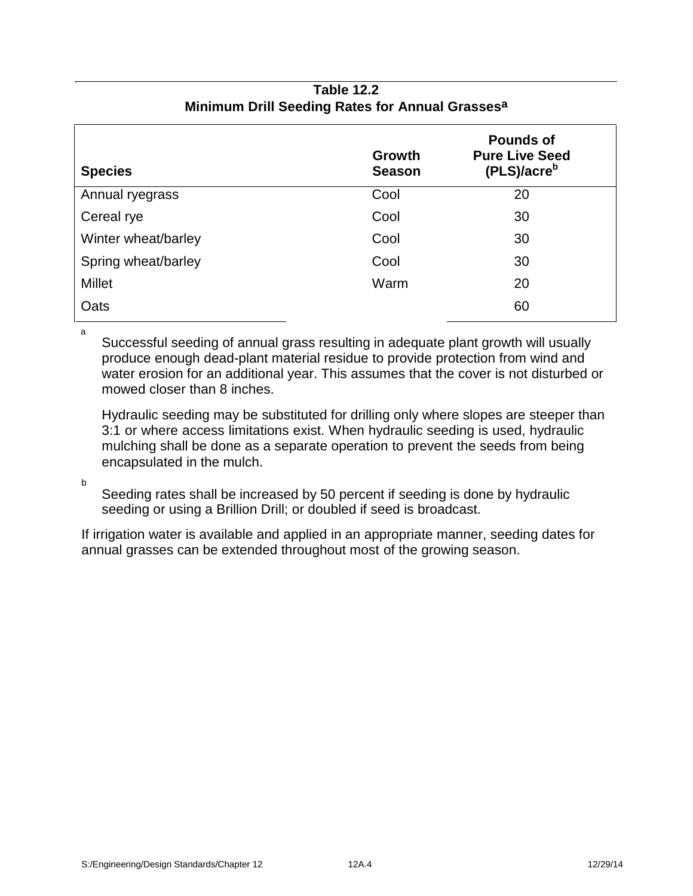# **Table 12.2 Minimum Drill Seeding Rates for Annual Grassesa**

| <b>Species</b>      | <b>Growth</b><br><b>Season</b> | <b>Pounds of</b><br><b>Pure Live Seed</b><br>(PLS)/acre <sup>b</sup> |
|---------------------|--------------------------------|----------------------------------------------------------------------|
| Annual ryegrass     | Cool                           | 20                                                                   |
| Cereal rye          | Cool                           | 30                                                                   |
| Winter wheat/barley | Cool                           | 30                                                                   |
| Spring wheat/barley | Cool                           | 30                                                                   |
| <b>Millet</b>       | Warm                           | 20                                                                   |
| Oats                |                                | 60                                                                   |

a

Successful seeding of annual grass resulting in adequate plant growth will usually produce enough dead-plant material residue to provide protection from wind and water erosion for an additional year. This assumes that the cover is not disturbed or mowed closer than 8 inches.

Hydraulic seeding may be substituted for drilling only where slopes are steeper than 3:1 or where access limitations exist. When hydraulic seeding is used, hydraulic mulching shall be done as a separate operation to prevent the seeds from being encapsulated in the mulch.

b

Seeding rates shall be increased by 50 percent if seeding is done by hydraulic seeding or using a Brillion Drill; or doubled if seed is broadcast.

If irrigation water is available and applied in an appropriate manner, seeding dates for annual grasses can be extended throughout most of the growing season.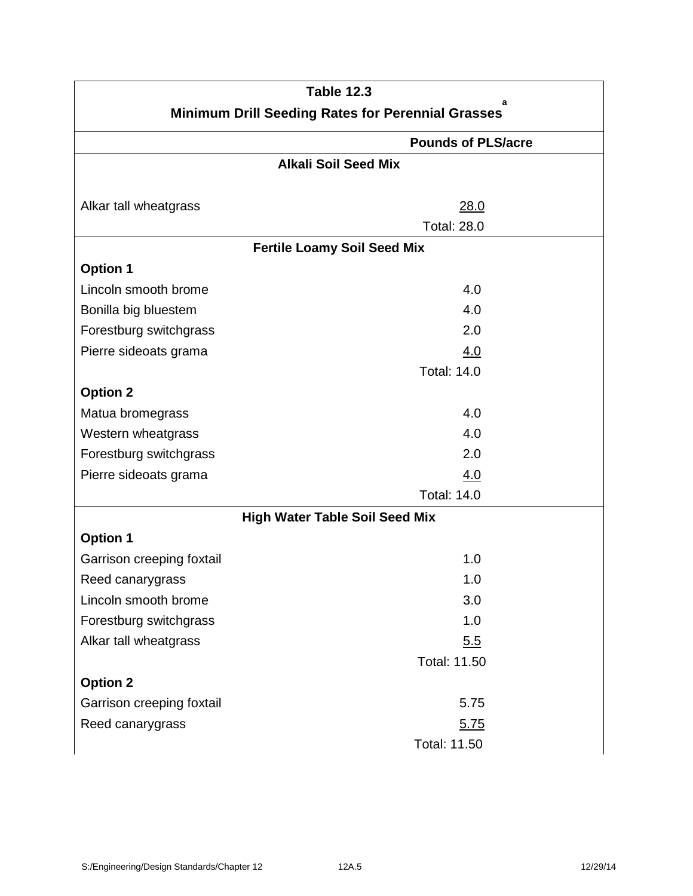|                                                               | <b>Table 12.3</b>                     |  |  |
|---------------------------------------------------------------|---------------------------------------|--|--|
| a<br><b>Minimum Drill Seeding Rates for Perennial Grasses</b> |                                       |  |  |
| <b>Pounds of PLS/acre</b>                                     |                                       |  |  |
|                                                               | <b>Alkali Soil Seed Mix</b>           |  |  |
|                                                               |                                       |  |  |
| Alkar tall wheatgrass                                         | 28.0                                  |  |  |
|                                                               | <b>Total: 28.0</b>                    |  |  |
|                                                               | <b>Fertile Loamy Soil Seed Mix</b>    |  |  |
| <b>Option 1</b>                                               |                                       |  |  |
| Lincoln smooth brome                                          | 4.0                                   |  |  |
| Bonilla big bluestem                                          | 4.0                                   |  |  |
| Forestburg switchgrass                                        | 2.0                                   |  |  |
| Pierre sideoats grama                                         | 4.0                                   |  |  |
|                                                               | <b>Total: 14.0</b>                    |  |  |
| <b>Option 2</b>                                               |                                       |  |  |
| Matua bromegrass                                              | 4.0                                   |  |  |
| Western wheatgrass                                            | 4.0                                   |  |  |
| Forestburg switchgrass                                        | 2.0                                   |  |  |
| Pierre sideoats grama                                         | 4.0                                   |  |  |
|                                                               | <b>Total: 14.0</b>                    |  |  |
|                                                               | <b>High Water Table Soil Seed Mix</b> |  |  |
| <b>Option 1</b>                                               |                                       |  |  |
| Garrison creeping foxtail                                     | 1.0                                   |  |  |
| Reed canarygrass                                              | 1.0                                   |  |  |
| Lincoln smooth brome                                          | 3.0                                   |  |  |
| Forestburg switchgrass                                        | 1.0                                   |  |  |
| Alkar tall wheatgrass                                         | 5.5                                   |  |  |
|                                                               | <b>Total: 11.50</b>                   |  |  |
| <b>Option 2</b>                                               |                                       |  |  |
| Garrison creeping foxtail                                     | 5.75                                  |  |  |
| Reed canarygrass                                              | 5.75                                  |  |  |
|                                                               | Total: 11.50                          |  |  |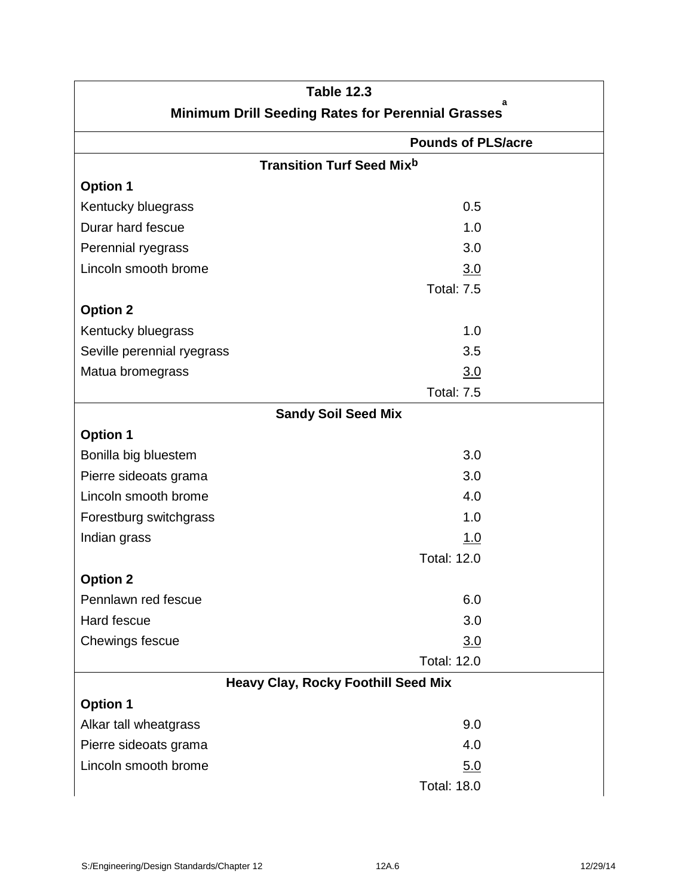|                                                          | <b>Table 12.3</b><br>a                     |  |
|----------------------------------------------------------|--------------------------------------------|--|
| <b>Minimum Drill Seeding Rates for Perennial Grasses</b> |                                            |  |
|                                                          | <b>Pounds of PLS/acre</b>                  |  |
|                                                          | <b>Transition Turf Seed Mixb</b>           |  |
| <b>Option 1</b>                                          |                                            |  |
| Kentucky bluegrass                                       | 0.5                                        |  |
| Durar hard fescue                                        | 1.0                                        |  |
| Perennial ryegrass                                       | 3.0                                        |  |
| Lincoln smooth brome                                     | 3.0                                        |  |
|                                                          | <b>Total: 7.5</b>                          |  |
| <b>Option 2</b>                                          |                                            |  |
| Kentucky bluegrass                                       | 1.0                                        |  |
| Seville perennial ryegrass                               | 3.5                                        |  |
| Matua bromegrass                                         | 3.0                                        |  |
|                                                          | <b>Total: 7.5</b>                          |  |
|                                                          | <b>Sandy Soil Seed Mix</b>                 |  |
| <b>Option 1</b>                                          |                                            |  |
| Bonilla big bluestem                                     | 3.0                                        |  |
| Pierre sideoats grama                                    | 3.0                                        |  |
| Lincoln smooth brome                                     | 4.0                                        |  |
| Forestburg switchgrass                                   | 1.0                                        |  |
| Indian grass                                             | 1.0                                        |  |
|                                                          | <b>Total: 12.0</b>                         |  |
| <b>Option 2</b>                                          |                                            |  |
| Pennlawn red fescue                                      | 6.0                                        |  |
| Hard fescue                                              | 3.0                                        |  |
| Chewings fescue                                          | 3.0                                        |  |
|                                                          | <b>Total: 12.0</b>                         |  |
|                                                          | <b>Heavy Clay, Rocky Foothill Seed Mix</b> |  |
| <b>Option 1</b>                                          |                                            |  |
| Alkar tall wheatgrass                                    | 9.0                                        |  |
| Pierre sideoats grama                                    | 4.0                                        |  |
| Lincoln smooth brome                                     | 5.0                                        |  |
|                                                          | <b>Total: 18.0</b>                         |  |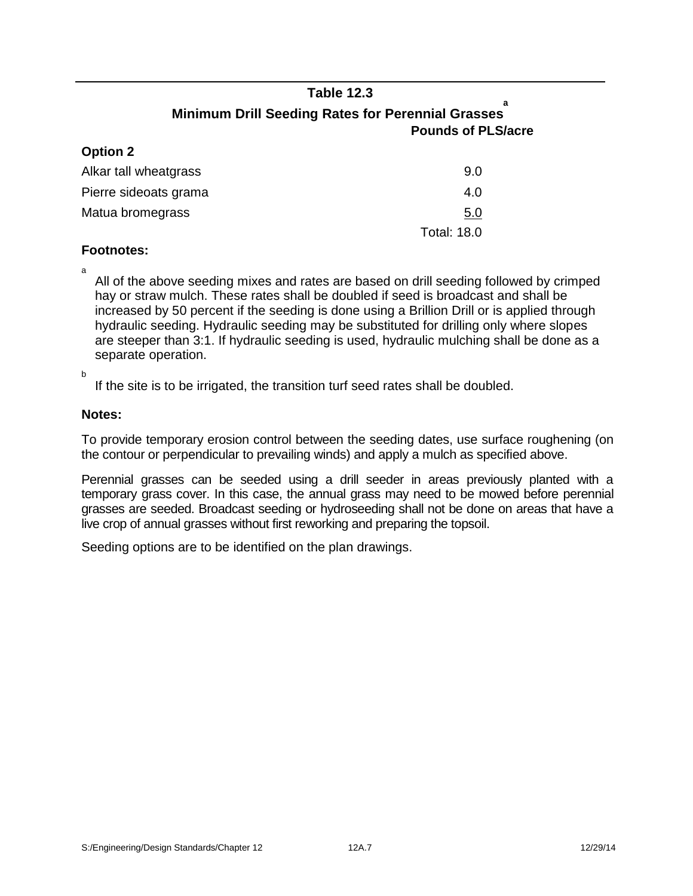# **Table 12.3**

#### **a Minimum Drill Seeding Rates for Perennial Grasses Pounds of PLS/acre**

| <b>Option 2</b>       |                    |  |
|-----------------------|--------------------|--|
| Alkar tall wheatgrass | 9.0                |  |
| Pierre sideoats grama | 4.0                |  |
| Matua bromegrass      | 5.0                |  |
|                       | <b>Total: 18.0</b> |  |

#### **Footnotes:**

**Option 2**

a All of the above seeding mixes and rates are based on drill seeding followed by crimped hay or straw mulch. These rates shall be doubled if seed is broadcast and shall be increased by 50 percent if the seeding is done using a Brillion Drill or is applied through hydraulic seeding. Hydraulic seeding may be substituted for drilling only where slopes are steeper than 3:1. If hydraulic seeding is used, hydraulic mulching shall be done as a separate operation.

b

If the site is to be irrigated, the transition turf seed rates shall be doubled.

#### **Notes:**

To provide temporary erosion control between the seeding dates, use surface roughening (on the contour or perpendicular to prevailing winds) and apply a mulch as specified above.

Perennial grasses can be seeded using a drill seeder in areas previously planted with a temporary grass cover. In this case, the annual grass may need to be mowed before perennial grasses are seeded. Broadcast seeding or hydroseeding shall not be done on areas that have a live crop of annual grasses without first reworking and preparing the topsoil.

Seeding options are to be identified on the plan drawings.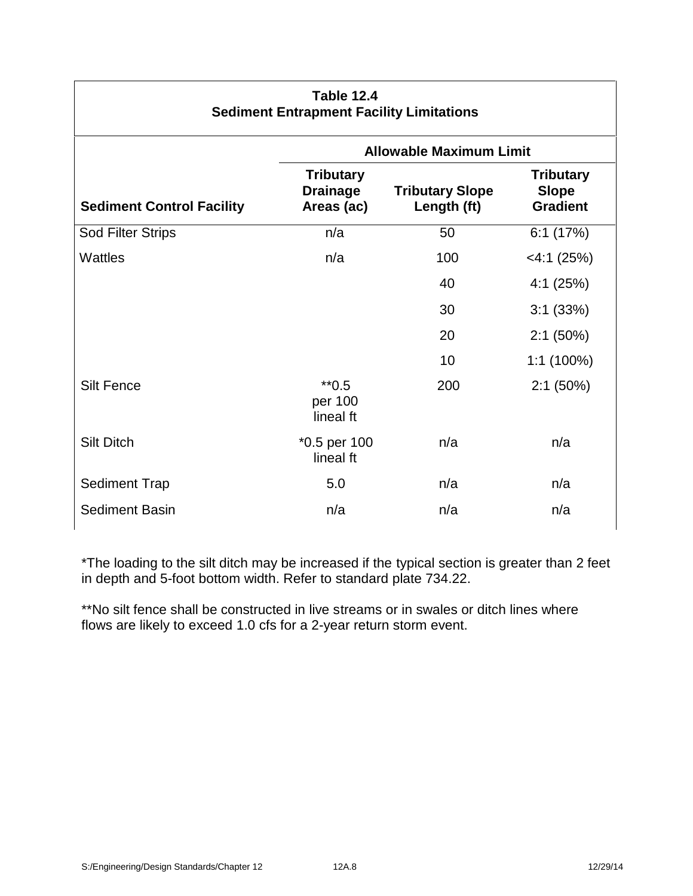| <b>Table 12.4</b><br><b>Sediment Entrapment Facility Limitations</b> |                                                   |                                       |                                                     |
|----------------------------------------------------------------------|---------------------------------------------------|---------------------------------------|-----------------------------------------------------|
|                                                                      | <b>Allowable Maximum Limit</b>                    |                                       |                                                     |
| <b>Sediment Control Facility</b>                                     | <b>Tributary</b><br><b>Drainage</b><br>Areas (ac) | <b>Tributary Slope</b><br>Length (ft) | <b>Tributary</b><br><b>Slope</b><br><b>Gradient</b> |
| <b>Sod Filter Strips</b>                                             | n/a                                               | 50                                    | 6:1(17%)                                            |
| <b>Wattles</b>                                                       | n/a                                               | 100                                   | $<$ 4:1 (25%)                                       |
|                                                                      |                                                   | 40                                    | 4:1(25%)                                            |
|                                                                      |                                                   | 30                                    | 3:1(33%)                                            |
|                                                                      |                                                   | 20                                    | 2:1(50%)                                            |
|                                                                      |                                                   | 10 <sup>1</sup>                       | $1:1(100\%)$                                        |
| <b>Silt Fence</b>                                                    | $*$ <sup>0.5</sup><br>per 100<br>lineal ft        | 200                                   | 2:1(50%)                                            |
| <b>Silt Ditch</b>                                                    | *0.5 per 100<br>lineal ft                         | n/a                                   | n/a                                                 |
| <b>Sediment Trap</b>                                                 | 5.0                                               | n/a                                   | n/a                                                 |
| <b>Sediment Basin</b>                                                | n/a                                               | n/a                                   | n/a                                                 |
|                                                                      |                                                   |                                       |                                                     |

\*The loading to the silt ditch may be increased if the typical section is greater than 2 feet in depth and 5-foot bottom width. Refer to standard plate 734.22.

\*\*No silt fence shall be constructed in live streams or in swales or ditch lines where flows are likely to exceed 1.0 cfs for a 2-year return storm event.

Г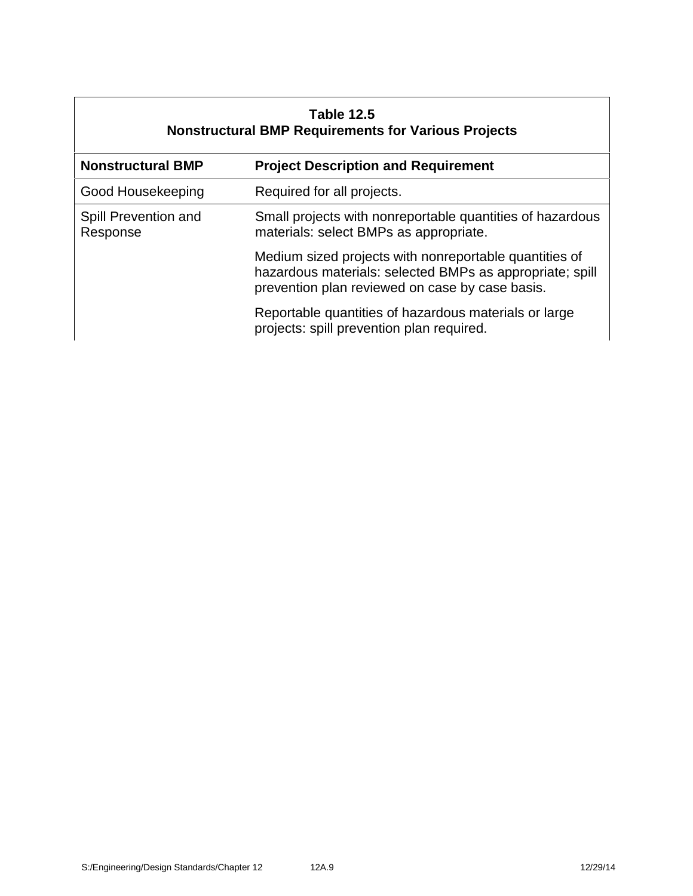| <b>Table 12.5</b><br><b>Nonstructural BMP Requirements for Various Projects</b> |                                                                                                                                                                       |  |
|---------------------------------------------------------------------------------|-----------------------------------------------------------------------------------------------------------------------------------------------------------------------|--|
| <b>Nonstructural BMP</b>                                                        | <b>Project Description and Requirement</b>                                                                                                                            |  |
| Good Housekeeping                                                               | Required for all projects.                                                                                                                                            |  |
| Spill Prevention and<br>Response                                                | Small projects with nonreportable quantities of hazardous<br>materials: select BMPs as appropriate.                                                                   |  |
|                                                                                 | Medium sized projects with nonreportable quantities of<br>hazardous materials: selected BMPs as appropriate; spill<br>prevention plan reviewed on case by case basis. |  |
|                                                                                 | Reportable quantities of hazardous materials or large<br>projects: spill prevention plan required.                                                                    |  |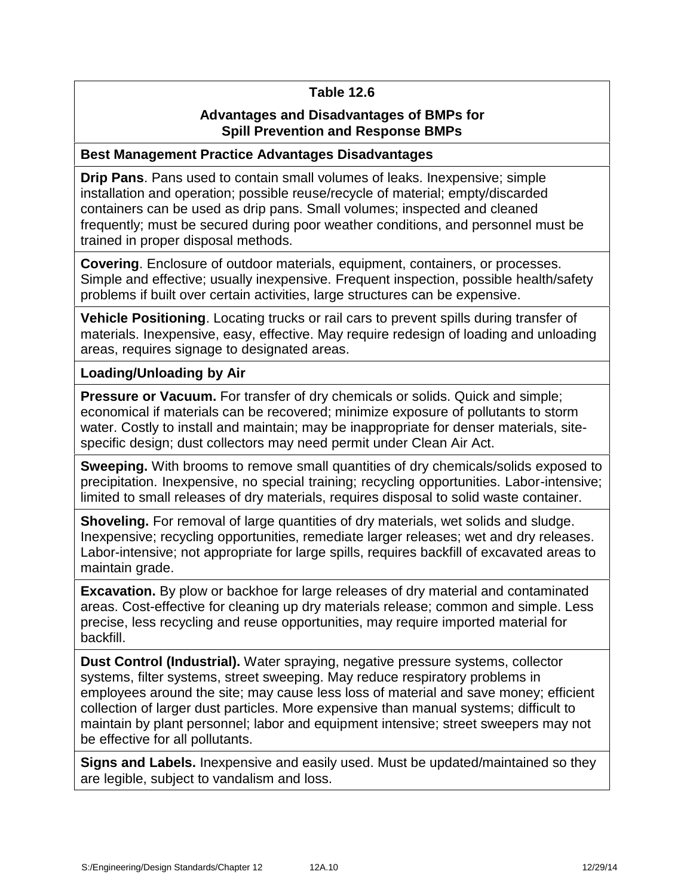# **Table 12.6**

# **Advantages and Disadvantages of BMPs for Spill Prevention and Response BMPs**

#### **Best Management Practice Advantages Disadvantages**

**Drip Pans**. Pans used to contain small volumes of leaks. Inexpensive; simple installation and operation; possible reuse/recycle of material; empty/discarded containers can be used as drip pans. Small volumes; inspected and cleaned frequently; must be secured during poor weather conditions, and personnel must be trained in proper disposal methods.

**Covering**. Enclosure of outdoor materials, equipment, containers, or processes. Simple and effective; usually inexpensive. Frequent inspection, possible health/safety problems if built over certain activities, large structures can be expensive.

**Vehicle Positioning.** Locating trucks or rail cars to prevent spills during transfer of materials. Inexpensive, easy, effective. May require redesign of loading and unloading areas, requires signage to designated areas.

# **Loading/Unloading by Air**

**Pressure or Vacuum.** For transfer of dry chemicals or solids. Quick and simple; economical if materials can be recovered; minimize exposure of pollutants to storm water. Costly to install and maintain; may be inappropriate for denser materials, site specific design; dust collectors may need permit under Clean Air Act.

**Sweeping.** With brooms to remove small quantities of dry chemicals/solids exposed to precipitation. Inexpensive, no special training; recycling opportunities. Labor-intensive; limited to small releases of dry materials, requires disposal to solid waste container.

**Shoveling.** For removal of large quantities of dry materials, wet solids and sludge. Inexpensive; recycling opportunities, remediate larger releases; wet and dry releases. Labor-intensive; not appropriate for large spills, requires backfill of excavated areas to maintain grade.

**Excavation.** By plow or backhoe for large releases of dry material and contaminated areas. Cost-effective for cleaning up dry materials release; common and simple. Less precise, less recycling and reuse opportunities, may require imported material for backfill.

**Dust Control (Industrial).** Water spraying, negative pressure systems, collector systems, filter systems, street sweeping. May reduce respiratory problems in employees around the site; may cause less loss of material and save money; efficient collection of larger dust particles. More expensive than manual systems; difficult to maintain by plant personnel; labor and equipment intensive; street sweepers may not be effective for all pollutants.

**Signs and Labels.** Inexpensive and easily used. Must be updated/maintained so they are legible, subject to vandalism and loss.